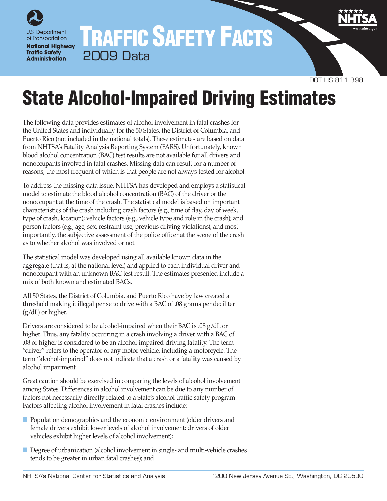

## TRAFFIC SAFETY FACTS 2009 Data



# State Alcohol-Impaired Driving Estimates

The following data provides estimates of alcohol involvement in fatal crashes for the United States and individually for the 50 States, the District of Columbia, and Puerto Rico (not included in the national totals). These estimates are based on data from NHTSA's Fatality Analysis Reporting System (FARS). Unfortunately, known blood alcohol concentration (BAC) test results are not available for all drivers and nonoccupants involved in fatal crashes. Missing data can result for a number of reasons, the most frequent of which is that people are not always tested for alcohol.

To address the missing data issue, NHTSA has developed and employs a statistical model to estimate the blood alcohol concentration (BAC) of the driver or the nonoccupant at the time of the crash. The statistical model is based on important characteristics of the crash including crash factors (e.g., time of day, day of week, type of crash, location); vehicle factors (e.g., vehicle type and role in the crash); and person factors (e.g., age, sex, restraint use, previous driving violations); and most importantly, the subjective assessment of the police officer at the scene of the crash as to whether alcohol was involved or not.

The statistical model was developed using all available known data in the aggregate (that is, at the national level) and applied to each individual driver and nonoccupant with an unknown BAC test result. The estimates presented include a mix of both known and estimated BACs.

All 50 States, the District of Columbia, and Puerto Rico have by law created a threshold making it illegal per se to drive with a BAC of .08 grams per deciliter (g/dL) or higher.

Drivers are considered to be alcohol-impaired when their BAC is .08 g/dL or higher. Thus, any fatality occurring in a crash involving a driver with a BAC of .08 or higher is considered to be an alcohol-impaired-driving fatality. The term "driver" refers to the operator of any motor vehicle, including a motorcycle. The term "alcohol-impaired" does not indicate that a crash or a fatality was caused by alcohol impairment.

Great caution should be exercised in comparing the levels of alcohol involvement among States. Differences in alcohol involvement can be due to any number of factors not necessarily directly related to a State's alcohol traffic safety program. Factors affecting alcohol involvement in fatal crashes include:

- Population demographics and the economic environment (older drivers and female drivers exhibit lower levels of alcohol involvement; drivers of older vehicles exhibit higher levels of alcohol involvement);
- Degree of urbanization (alcohol involvement in single- and multi-vehicle crashes tends to be greater in urban fatal crashes); and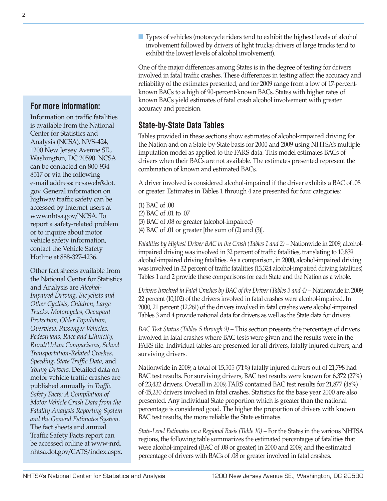### **For more information:**

Information on traffic fatalities is available from the National Center for Statistics and Analysis (NCSA), NVS-424, 1200 New Jersey Avenue SE., Washington, DC 20590. NCSA can be contacted on 800-934- 8517 or via the following e-mail address: [ncsaweb@dot.](mailto:ncsaweb%40dot.gov?subject=) [gov.](mailto:ncsaweb%40dot.gov?subject=) General information on highway traffic safety can be accessed by Internet users at [www.nhtsa.gov/NCSA](http://www.nhtsa.gov/NCSA). To report a safety-related problem or to inquire about motor vehicle safety information, contact the Vehicle Safety Hotline at 888-327-4236.

Other fact sheets available from the National Center for Statistics and Analysis are *Alcohol-Impaired Driving, Bicyclists and Other Cyclists, Children, Large Trucks, Motorcycles, Occupant Protection, Older Population, Overview, Passenger Vehicles, Pedestrians, Race and Ethnicity, Rural/Urban Comparisons, School Transportation-Related Crashes, Speeding, State Traffic Data,* and *Young Drivers.* Detailed data on motor vehicle traffic crashes are published annually in *Traffic Safety Facts: A Compilation of Motor Vehicle Crash Data from the Fatality Analysis Reporting System and the General Estimates System.*  The fact sheets and annual Traffic Safety Facts report can be accessed online at [www-nrd.](http://www-nrd.nhtsa.dot.gov/CATS/index.aspx) [nhtsa.dot.gov/CATS/index.aspx](http://www-nrd.nhtsa.dot.gov/CATS/index.aspx). ■ Types of vehicles (motorcycle riders tend to exhibit the highest levels of alcohol involvement followed by drivers of light trucks; drivers of large trucks tend to exhibit the lowest levels of alcohol involvement).

One of the major differences among States is in the degree of testing for drivers involved in fatal traffic crashes. These differences in testing affect the accuracy and reliability of the estimates presented, and for 2009 range from a low of 17-percentknown BACs to a high of 90-percent-known BACs. States with higher rates of known BACs yield estimates of fatal crash alcohol involvement with greater accuracy and precision.

## **State-by-State Data Tables**

Tables provided in these sections show estimates of alcohol-impaired driving for the Nation and on a State-by-State basis for 2000 and 2009 using NHTSA's multiple imputation model as applied to the FARS data. This model estimates BACs of drivers when their BACs are not available. The estimates presented represent the combination of known and estimated BACs.

A driver involved is considered alcohol-impaired if the driver exhibits a BAC of .08 or greater. Estimates in Tables 1 through 4 are presented for four categories:

(1) BAC of .00 (2) BAC of .01 to .07 (3) BAC of .08 or greater (alcohol-impaired) (4) BAC of .01 or greater [the sum of (2) and (3)].

*Fatalities by Highest Driver BAC in the Crash (Tables 1 and 2) – Nationwide in 2009, alcohol*impaired driving was involved in 32 percent of traffic fatalities, translating to 10,839 alcohol-impaired driving fatalities. As a comparison, in 2000, alcohol-impaired driving was involved in 32 percent of traffic fatalities (13,324 alcohol-impaired driving fatalities). Tables 1 and 2 provide these comparisons for each State and the Nation as a whole.

*Drivers Involved in Fatal Crashes by BAC of the Driver (Tables 3 and 4) – Nationwide in 2009,* 22 percent (10,102) of the drivers involved in fatal crashes were alcohol-impaired. In 2000, 21 percent (12,261) of the drivers involved in fatal crashes were alcohol-impaired. Tables 3 and 4 provide national data for drivers as well as the State data for drivers.

*BAC Test Status (Tables 5 through 9)* – This section presents the percentage of drivers involved in fatal crashes where BAC tests were given and the results were in the FARS file. Individual tables are presented for all drivers, fatally injured drivers, and surviving drivers.

Nationwide in 2009, a total of 15,505 (71%) fatally injured drivers out of 21,798 had BAC test results. For surviving drivers, BAC test results were known for 6,372 (27%) of 23,432 drivers. Overall in 2009, FARS contained BAC test results for 21,877 (48%) of 45,230 drivers involved in fatal crashes. Statistics for the base year 2000 are also presented. Any individual State proportion which is greater than the national percentage is considered good. The higher the proportion of drivers with known BAC test results, the more reliable the State estimates.

*State-Level Estimates on a Regional Basis (Table 10)* – For the States in the various NHTSA regions, the following table summarizes the estimated percentages of fatalities that were alcohol-impaired (BAC of .08 or greater) in 2000 and 2009, and the estimated percentage of drivers with BACs of .08 or greater involved in fatal crashes.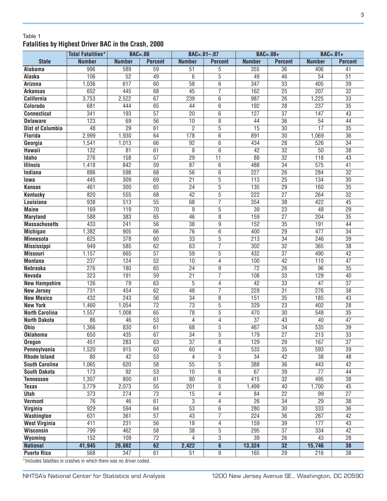#### Table 1 **Fatalities by Highest Driver BAC in the Crash, 2000**

|                         | <b>Total Fatalities*</b> | $BAC = .00$     |                 |                 | $BAC = .01 - .07$ | $BAC=.08+$       |                                    | $BAC=.01+$       |                 |
|-------------------------|--------------------------|-----------------|-----------------|-----------------|-------------------|------------------|------------------------------------|------------------|-----------------|
| <b>State</b>            | <b>Number</b>            | <b>Number</b>   | <b>Percent</b>  | <b>Number</b>   | <b>Percent</b>    | <b>Number</b>    | <b>Percent</b>                     | <b>Number</b>    | <b>Percent</b>  |
| Alabama                 | 996                      | 589             | 59              | 51              | 5                 | 355              | $\overline{36}$                    | 406              | 41              |
| Alaska                  | 106                      | 52              | 49              | 6               | $\overline{5}$    | 49               | 46                                 | 54               | $\overline{51}$ |
| Arizona                 | 1,036                    | 617             | 60              | $\overline{58}$ | 6                 | 347              | $\overline{33}$                    | 405              | $\overline{39}$ |
| <b>Arkansas</b>         | 652                      | 445             | 68              | $\overline{45}$ | $\overline{7}$    | 162              | $\overline{25}$                    | 207              | $\overline{32}$ |
| <b>California</b>       | 3,753                    | 2,522           | 67              | 239             | 6                 | 987              | $\overline{26}$                    | 1,225            | $\overline{33}$ |
| Colorado                | 681                      | 444             | 65              | 44              | 6                 | 192              | $\overline{28}$                    | 237              | $\overline{35}$ |
| <b>Connecticut</b>      | 341                      | 193             | $\overline{57}$ | 20              | 6                 | 127              | $\overline{37}$                    | 147              | 43              |
| <b>Delaware</b>         | 123                      | 69              | $\overline{56}$ | 10              | 8                 | 44               | $\overline{36}$                    | 54               | 44              |
| <b>Dist of Columbia</b> | 48                       | $\overline{29}$ | 61              | $\overline{2}$  | $\overline{5}$    | 15               | $\overline{30}$                    | 17               | $\overline{35}$ |
| <b>Florida</b>          | 2,999                    | 1,930           | 64              | 178             | 6                 | 891              | $\overline{30}$                    | 1,069            | $\overline{36}$ |
| Georgia                 | 1,541                    | 1,013           | 66              | 92              | 6                 | 434              | $\overline{28}$                    | 526              | $\overline{34}$ |
| Hawaii                  | $\overline{132}$         | 81              | 61              | 8               | 6                 | 42               | $\overline{32}$                    | 50               | $\overline{38}$ |
| Idaho                   | 276                      | 158             | $\overline{57}$ | 29              | $\overline{11}$   | $\overline{88}$  | $\overline{32}$                    | 118              | $\overline{43}$ |
| <b>Illinois</b>         | 1,418                    | 842             | 59              | $\overline{87}$ | 6                 | 488              | $\overline{34}$                    | $\overline{575}$ | 41              |
| Indiana                 | 886                      | 598             | 68              | $\overline{56}$ | $\overline{6}$    | 227              | $\overline{26}$                    | 284              | $\overline{32}$ |
| lowa                    | 445                      | 309             | 69              | $\overline{21}$ | $\overline{5}$    | 113              | $\overline{25}$                    | 134              | $\overline{30}$ |
| <b>Kansas</b>           | 461                      | 300             | 65              | $\overline{24}$ | $\overline{5}$    | 135              | $\overline{29}$                    | 160              | $\overline{35}$ |
| <b>Kentucky</b>         | 820                      | 555             | 68              | $\overline{42}$ | $\overline{5}$    | $\overline{222}$ | $\overline{27}$                    | 264              | $\overline{32}$ |
| <b>Louisiana</b>        | 938                      | 513             | $\overline{55}$ | 68              | $\overline{7}$    | 354              | $\overline{38}$                    | 422              | $\overline{45}$ |
| <b>Maine</b>            | 169                      | 119             | $\overline{70}$ | 9               | $\overline{5}$    | 39               | $\overline{23}$                    | 48               | 29              |
| <b>Maryland</b>         | 588                      | 383             | 65              | 46              | $\overline{8}$    | 159              | $\overline{27}$                    | 204              | $\overline{35}$ |
| <b>Massachusetts</b>    | 433                      | 241             | $\overline{56}$ | $\overline{38}$ | $\overline{9}$    | 152              | $\overline{35}$                    | 191              | 44              |
| <b>Michigan</b>         | 1,382                    | 905             | 66              | $\overline{76}$ | 6                 | 400              | $\overline{29}$                    | 477              | $\overline{34}$ |
| <b>Minnesota</b>        | 625                      | 378             | 60              | 33              | $\overline{5}$    | 213              | $\overline{34}$                    | 246              | $\overline{39}$ |
| <b>Mississippi</b>      | 949                      | 585             | 62              | 63              | 7                 | 302              | $\overline{32}$                    | 365              | $\overline{38}$ |
| <b>Missouri</b>         | 1,157                    | 665             | $\overline{57}$ | 59              | 5                 | 432              | $\overline{37}$                    | 490              | 42              |
| <b>Montana</b>          | 237                      | 124             | 52              | 10              | 4                 | 100              | 42                                 | 110              | $\overline{47}$ |
| <b>Nebraska</b>         | 276                      | 180             | 65              | 24              | 9                 | $\overline{72}$  | $\overline{26}$                    | $\overline{96}$  | $\overline{35}$ |
| <b>Nevada</b>           | 323                      | 191             | 59              | $\overline{21}$ | $\overline{7}$    | 108              | $\overline{33}$                    | 129              | 40              |
| <b>New Hampshire</b>    | 126                      | 79              | 63              | 5               | 4                 | 42               | $\overline{33}$                    | 47               | $\overline{37}$ |
| <b>New Jersey</b>       | 731                      | 454             | 62              | $\overline{48}$ | 7                 | 228              | $\overline{31}$                    | 276              | $\overline{38}$ |
| <b>New Mexico</b>       | 432                      | 243             | $\overline{56}$ | $\overline{34}$ | 8                 | 151              | $\overline{35}$                    | 185              | 43              |
| <b>New York</b>         | 1,460                    | 1,054           | $\overline{72}$ | $\overline{73}$ | $\overline{5}$    | 329              | $\overline{23}$                    | 402              | $\overline{28}$ |
| <b>North Carolina</b>   | 1,557                    | 1,008           | 65              | $\overline{78}$ | $\overline{5}$    | 470              | $\overline{30}$                    | 548              | 35              |
| <b>North Dakota</b>     | 86                       | 46              | $\overline{53}$ | 4               | $\overline{4}$    | $\overline{37}$  | 43                                 | 40               | $\overline{47}$ |
| <b>Ohio</b>             | 1,366                    | 830             | 61              | 68              | $\overline{5}$    | 467              | $\overline{34}$                    | 535              | $\overline{39}$ |
| <b>Oklahoma</b>         | 650                      | 435             | 67              | 34              | $\overline{5}$    | 179              | $\overline{27}$                    | 213              | 33              |
| <b>Oregon</b>           | 451                      | 283             | 63              | $\overline{37}$ | 8                 | 129              | $\overline{29}$                    | 167              | $\overline{37}$ |
| Pennsylvania            | 1,520                    | 915             | 60              | 60              | 4                 | 533              | $\overline{35}$                    | 593              | $\overline{39}$ |
| <b>Rhode Island</b>     | 80                       | 42              | 53              | 4               | $\overline{5}$    | $\overline{34}$  | 42                                 | $\overline{38}$  | 48              |
| <b>South Carolina</b>   | 1,065                    | 620             | $\overline{58}$ | $\overline{55}$ | $\overline{5}$    | 388              | $\overline{36}$                    | 443              | 42              |
| <b>South Dakota</b>     | 173                      | $\overline{92}$ | 53              | 10              | 6                 | 67               | $\overline{39}$                    | $\overline{77}$  | 44              |
| <b>Tennessee</b>        | 1,307                    | 800             | 61              | 80              | 6                 | 415              | $\overline{32}$                    | 495              | 38              |
| <b>Texas</b>            | 3,779                    | 2,073           | 55              | 201             | 5                 | 1,499            | 40                                 | 1,700            | 45              |
| <b>Utah</b>             | 373                      | 274             | 73              | 15              | 4                 | 84               | $\overline{22}$                    | 99               | 27              |
| <b>Vermont</b>          | $\overline{76}$          | 46              | 61              | 3               | 4                 | $\overline{26}$  | 34                                 | $\overline{29}$  | $\overline{38}$ |
| Virginia                | 929                      | 594             | 64              | $\overline{53}$ | $6\overline{6}$   | 280              | $\overline{30}$<br>$\overline{36}$ | 333              | $\overline{36}$ |
| <b>Washington</b>       | 631                      | 361             | $\overline{57}$ | 43              | 7                 | 224              |                                    | 267              | 42              |
| <b>West Virginia</b>    | 411                      | 231             | $\overline{56}$ | $\overline{18}$ | $\overline{4}$    | 159              | $\overline{39}$                    | 177              | 43              |
| <b>Wisconsin</b>        | 799                      | 462             | 58              | 38              | $\overline{5}$    | 295              | $\overline{37}$                    | 334              | 42              |
| Wyoming                 | 152                      | 109             | $\overline{72}$ | 4               | $\overline{3}$    | 39               | $\overline{26}$                    | 43               | $\overline{28}$ |
| <b>National</b>         | 41,945                   | 26,082          | 62              | 2,422           | $\overline{6}$    | 13,324           | 32                                 | 15,746           | 38              |
| <b>Puerto Rico</b>      | 568                      | 347             | 61              | 51              | $\overline{9}$    | 165              | $\overline{29}$                    | 216              | $\overline{38}$ |

\*Includes fatalities in crashes in which there was no driver coded.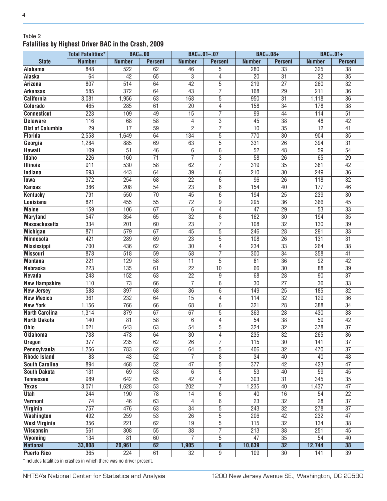#### Table 2 **Fatalities by Highest Driver BAC in the Crash, 2009**

|                         | <b>Total Fatalities*</b> | <b>BAC=.00</b>   |                 | $BAC = .01 - .07$ |                         | $BAC=.08+$       |                 | $BAC=.01+$      |                 |
|-------------------------|--------------------------|------------------|-----------------|-------------------|-------------------------|------------------|-----------------|-----------------|-----------------|
| <b>State</b>            | <b>Number</b>            | <b>Number</b>    | <b>Percent</b>  | <b>Number</b>     | <b>Percent</b>          | <b>Number</b>    | <b>Percent</b>  | <b>Number</b>   | <b>Percent</b>  |
| Alabama                 | 848                      | 522              | 62              | 46                | 5                       | 280              | $\overline{33}$ | 325             | 38              |
| Alaska                  | 64                       | $\overline{42}$  | 65              | $\overline{3}$    | 4                       | $\overline{20}$  | $\overline{31}$ | $\overline{22}$ | $\overline{35}$ |
| Arizona                 | 807                      | $\overline{514}$ | 64              | 42                | 5                       | 219              | $\overline{27}$ | 260             | $\overline{32}$ |
| <b>Arkansas</b>         | 585                      | $\overline{372}$ | 64              | $\overline{43}$   | $\overline{7}$          | 168              | $\overline{29}$ | 211             | $\overline{36}$ |
| <b>California</b>       | 3,081                    | 1,956            | 63              | 168               | 5                       | 950              | $\overline{31}$ | 1,118           | $\overline{36}$ |
| Colorado                | 465                      | 285              | 61              | 20                | 4                       | 158              | $\overline{34}$ | 178             | $\overline{38}$ |
| <b>Connecticut</b>      | 223                      | 109              | 49              | 15                | 7                       | 99               | 44              | 114             | $\overline{51}$ |
| <b>Delaware</b>         | 116                      | 68               | $\overline{58}$ | 4                 | 3                       | $\overline{45}$  | $\overline{38}$ | 48              | 42              |
| <b>Dist of Columbia</b> | $\overline{29}$          | $\overline{17}$  | $\overline{59}$ | $\overline{2}$    | $\overline{7}$          | 10               | $\overline{35}$ | $\overline{12}$ | 41              |
| <b>Florida</b>          | 2,558                    | 1,649            | 64              | 134               | 5                       | 770              | $\overline{30}$ | 904             | $\overline{35}$ |
| Georgia                 | 1,284                    | 885              | 69              | 63                | $\overline{5}$          | 331              | $\overline{26}$ | 394             | $\overline{31}$ |
| Hawaii                  | 109                      | $\overline{51}$  | 46              | 6                 | 6                       | 52               | $\overline{48}$ | 59              | $\overline{54}$ |
| Idaho                   | 226                      | 160              | $\overline{71}$ | $\overline{7}$    | $\overline{3}$          | $\overline{58}$  | $\overline{26}$ | 65              | $\overline{29}$ |
| <b>Illinois</b>         | 911                      | 530              | $\overline{58}$ | 62                | $\overline{7}$          | $\overline{319}$ | $\overline{35}$ | 381             | 42              |
| Indiana                 | 693                      | 443              | 64              | $\overline{39}$   | 6                       | $\overline{210}$ | $\overline{30}$ | 249             | $\overline{36}$ |
| lowa                    | $\overline{372}$         | 254              | 68              | $\overline{22}$   | 6                       | $\overline{96}$  | $\overline{26}$ | 118             | $\overline{32}$ |
| <b>Kansas</b>           | 386                      | 208              | 54              | $\overline{23}$   | 6                       | 154              | 40              | 177             | 46              |
| <b>Kentucky</b>         | 791                      | 550              | $\overline{70}$ | 45                | 6                       | 194              | $\overline{25}$ | 239             | $\overline{30}$ |
| Louisiana               | 821                      | 455              | $\overline{55}$ | $\overline{72}$   | 9                       | 295              | $\overline{36}$ | 366             | $\overline{45}$ |
| <b>Maine</b>            | 159                      | 106              | 67              | 6                 | 4                       | $\overline{47}$  | $\overline{29}$ | $\overline{53}$ | $\overline{33}$ |
| <b>Maryland</b>         | 547                      | 354              | 65              | $\overline{32}$   | 6                       | 162              | $\overline{30}$ | 194             | $\overline{35}$ |
| <b>Massachusetts</b>    | 334                      | 201              | 60              | $\overline{23}$   | 7                       | 108              | $\overline{32}$ | 130             | $\overline{39}$ |
| <b>Michigan</b>         | 871                      | 579              | 67              | 45                | 5                       | 246              | 28              | 291             | 33              |
| <b>Minnesota</b>        | 421                      | 289              | 69              | $\overline{23}$   | 5                       | 108              | $\overline{26}$ | 131             | $\overline{31}$ |
| <b>Mississippi</b>      | 700                      | 436              | 62              | $\overline{30}$   | 4                       | 234              | 33              | 264             | $\overline{38}$ |
| <b>Missouri</b>         | 878                      | 518              | 59              | $\overline{58}$   | 7                       | 300              | $\overline{34}$ | 358             | 41              |
| <b>Montana</b>          | 221                      | 129              | $\overline{58}$ | 11                | 5                       | 81               | $\overline{36}$ | 92              | 42              |
| <b>Nebraska</b>         | 223                      | 135              | 61              | $\overline{22}$   | $\overline{10}$         | 66               | $\overline{30}$ | $\overline{88}$ | $\overline{39}$ |
| <b>Nevada</b>           | 243                      | 152              | 63              | $\overline{22}$   | 9                       | 68               | $\overline{28}$ | $\overline{90}$ | $\overline{37}$ |
| <b>New Hampshire</b>    | 110                      | $\overline{73}$  | 66              | $\overline{7}$    | 6                       | 30               | $\overline{27}$ | $\overline{36}$ | 33              |
| <b>New Jersey</b>       | 583                      | 397              | 68              | $\overline{36}$   | $\overline{6}$          | 149              | $\overline{25}$ | 185             | $\overline{32}$ |
| <b>New Mexico</b>       | 361                      | 232              | 64              | $\overline{15}$   | 4                       | 114              | $\overline{32}$ | 129             | $\overline{36}$ |
| <b>New York</b>         | 1,156                    | 766              | 66              | 68                | 6                       | 321              | $\overline{28}$ | 388             | $\overline{34}$ |
| <b>North Carolina</b>   | 1,314                    | 879              | 67              | 67                | 5                       | 363              | $\overline{28}$ | 430             | 33              |
| <b>North Dakota</b>     | 140                      | 81               | $\overline{58}$ | 6                 | 4                       | 54               | $\overline{38}$ | $\overline{59}$ | 42              |
| <b>Ohio</b>             | 1,021                    | 643              | 63              | $\overline{54}$   | 5                       | 324              | $\overline{32}$ | 378             | $\overline{37}$ |
| <b>Oklahoma</b>         | 738                      | 473              | 64              | $\overline{30}$   | 4                       | 235              | $\overline{32}$ | 265             | $\overline{36}$ |
| <b>Oregon</b>           | 377                      | 235              | 62              | $\overline{26}$   | $\overline{7}$          | 115              | $\overline{30}$ | 141             | $\overline{37}$ |
| Pennsylvania            | 1,256                    | 783              | 62              | 64                | 5                       | 406              | $\overline{32}$ | 470             | $\overline{37}$ |
| <b>Rhode Island</b>     | 83                       | 43               | 52              | 7                 | $\overline{8}$          | $\overline{34}$  | 40              | 40              | 48              |
| <b>South Carolina</b>   | 894                      | 468              | 52              | 47                | 5                       | 377              | 42              | 423             | 47              |
| <b>South Dakota</b>     | 131                      | 69               | $\overline{53}$ | 6                 | 5                       | 53               | 40              | 59              | 45              |
| <b>Tennessee</b>        | 989                      | 642              | 65              | 42                | 4                       | $\overline{303}$ | $\overline{31}$ | 345             | $\overline{35}$ |
| <b>Texas</b>            | 3,071                    | 1,628            | 53              | 202               | 7                       | 1,235            | 40              | 1,437           | 47              |
| <b>Utah</b>             | 244                      | 190              | 78              | 14                | 6                       | 40               | 16              | 54              | 22              |
| <b>Vermont</b>          | $\overline{74}$          | $\overline{46}$  | 63              | 4                 | 6                       | $\overline{23}$  | $\overline{32}$ | $\overline{28}$ | $\overline{37}$ |
| <b>Virginia</b>         | 757                      | 476              | 63              | $\overline{34}$   | $\overline{5}$          | 243              | $\overline{32}$ | 278             | $\overline{37}$ |
| <b>Washington</b>       | 492                      | 259              | $\overline{53}$ | $\overline{26}$   | $\overline{5}$          | 206              | 42              | 232             | $\overline{47}$ |
| <b>West Virginia</b>    | 356                      | 221              | 62              | $\overline{19}$   | $\overline{5}$          | 115              | $\overline{32}$ | 134             | 38              |
| <b>Wisconsin</b>        | 561                      | 308              | $\overline{55}$ | $\overline{38}$   | 7                       | $\overline{213}$ | $\overline{38}$ | 251             | 45              |
| Wyoming                 | 134                      | $\overline{81}$  | 60              | $\overline{7}$    | 5                       | $\overline{47}$  | $\overline{35}$ | 54              | 40              |
| <b>National</b>         | 33,808                   | 20,961           | 62              | 1,905             | $\overline{\mathbf{6}}$ | 10,839           | 32              | 12,744          | 38              |
| <b>Puerto Rico</b>      | 365                      | 224              | 61              | $\overline{32}$   | 9                       | 109              | $\overline{30}$ | 141             | $\overline{39}$ |
|                         |                          |                  |                 |                   |                         |                  |                 |                 |                 |

\*Includes fatalities in crashes in which there was no driver present.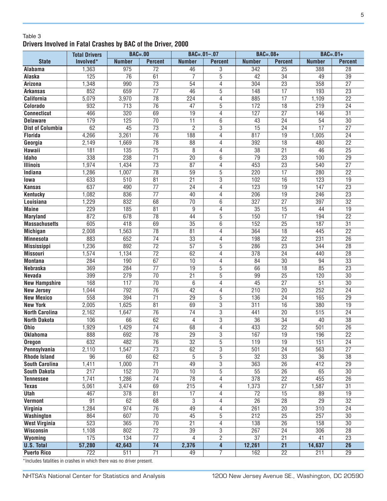#### Table 3 **Drivers Involved in Fatal Crashes by BAC of the Driver, 2000**

|                         | <b>Total Drivers</b> | <b>BAC=.00</b>  |                                    |                                   | $BAC = .01 - .07$                | $BAC=.08+$             |                                    | $BAC=.01+$      |                                    |
|-------------------------|----------------------|-----------------|------------------------------------|-----------------------------------|----------------------------------|------------------------|------------------------------------|-----------------|------------------------------------|
| <b>State</b>            | Involved*            | <b>Number</b>   | <b>Percent</b>                     | <b>Number</b>                     | <b>Percent</b>                   | <b>Number</b>          | <b>Percent</b>                     | <b>Number</b>   | <b>Percent</b>                     |
| <b>Alabama</b>          | 1,363                | 975             | $\overline{72}$                    | 46                                | 3                                | 342                    | $\overline{25}$                    | 388             | $\overline{28}$                    |
| Alaska                  | 125                  | $\overline{76}$ | 61                                 | 7                                 | $\overline{5}$                   | 42                     | $\overline{34}$                    | 49              | 39                                 |
| <b>Arizona</b>          | 1,348                | 990             | $\overline{73}$                    | 54                                | 4                                | 304                    | $\overline{23}$                    | 358             | $\overline{27}$                    |
| <b>Arkansas</b>         | 852                  | 659             | $\overline{77}$                    | $\overline{46}$                   | $\overline{5}$                   | 148                    | $\overline{17}$                    | 193             | $\overline{23}$                    |
| <b>California</b>       | 5,079                | 3,970           | $\overline{78}$                    | 224                               | 4                                | 885                    | $\overline{17}$                    | 1,109           | $\overline{22}$                    |
| Colorado                | 932                  | 713             | $\overline{76}$                    | 47                                | 5                                | 172                    | $\overline{18}$                    | 219             | $\overline{24}$                    |
| <b>Connecticut</b>      | 466                  | 320             | 69                                 | 19                                | 4                                | 127                    | $\overline{27}$                    | 146             | $\overline{31}$                    |
| <b>Delaware</b>         | 179                  | 125             | $\overline{70}$                    | 11                                | 6                                | 43                     | $\overline{24}$                    | 54              | $\overline{30}$                    |
| <b>Dist of Columbia</b> | 62                   | $\overline{45}$ | $\overline{73}$                    | $\overline{2}$                    | 3                                | $\overline{15}$        | $\overline{24}$                    | $\overline{17}$ | $\overline{27}$                    |
| <b>Florida</b>          | 4,266                | 3,261           | $\overline{76}$                    | 188                               | 4                                | 817                    | 19                                 | 1,005           | 24                                 |
| Georgia                 | 2,149                | 1,669           | 78                                 | $\overline{88}$                   | 4                                | 392                    | $\overline{18}$                    | 480             | $\overline{22}$                    |
| Hawaii                  | 181                  | 135             | $\overline{75}$                    | 8                                 | $\overline{4}$                   | $\overline{38}$        | $\overline{21}$                    | 46              | $\overline{25}$                    |
| <b>Idaho</b>            | 338                  | 238             | $\overline{71}$                    | $\overline{20}$                   | 6                                | $\overline{79}$        | $\overline{23}$                    | 100             | $\overline{29}$                    |
| <b>Illinois</b>         | 1,974                | 1,434           | $\overline{73}$                    | $\overline{87}$                   | 4                                | 453                    | $\overline{23}$                    | 540             | $\overline{27}$                    |
| Indiana                 | 1,286                | 1,007           | $\overline{78}$                    | 59                                | $\overline{5}$                   | 220                    | $\overline{17}$                    | 280             | $\overline{22}$                    |
| lowa                    | 633                  | 510             | $\overline{81}$                    | $\overline{21}$                   | $\overline{3}$                   | 102                    | $\overline{16}$                    | 123             | $\overline{19}$                    |
| <b>Kansas</b>           | 637                  | 490             | $\overline{77}$                    | $\overline{24}$                   | 4                                | 123                    | $\overline{19}$                    | 147             | $\overline{23}$                    |
| <b>Kentucky</b>         | 1,082                | 836             | $\overline{77}$                    | 40                                | 4                                | 206                    | $\overline{19}$                    | 246             | $\overline{23}$                    |
| Louisiana               | 1,229                | 832             | 68                                 | $\overline{70}$                   | 6                                | 327                    | $\overline{27}$                    | 397             | $\overline{32}$                    |
| <b>Maine</b>            | 229                  | 185             | $\overline{81}$                    | 9                                 | 4                                | $\overline{35}$        | 15                                 | 44              | $\overline{19}$                    |
| <b>Maryland</b>         | 872                  | 678             | $\overline{78}$                    | 44                                | 5                                | 150                    | $\overline{17}$                    | 194             | $\overline{22}$                    |
| <b>Massachusetts</b>    | 605                  | 418             | 69                                 | 35                                | 6                                | 152                    | $\overline{25}$                    | 187             | $\overline{31}$                    |
| <b>Michigan</b>         | 2,008                | 1,563           | 78                                 | $\overline{81}$                   | 4                                | 364                    | $\overline{18}$                    | 445             | $\overline{22}$                    |
| <b>Minnesota</b>        | 883                  | 652             | $\overline{74}$                    | $\overline{33}$                   | 4                                | 198                    | $\overline{22}$                    | 231             | $\overline{26}$                    |
| <b>Mississippi</b>      | 1,236                | 892             | $\overline{72}$                    | $\overline{57}$                   | 5                                | 286                    | $\overline{23}$                    | 344             | $\overline{28}$                    |
| <b>Missouri</b>         | 1,574                | 1,134           | $\overline{72}$                    | 62                                | 4                                | 378                    | 24                                 | 440             | $\overline{28}$                    |
| <b>Montana</b>          | 284                  | 190             | 67                                 | 10                                | 4                                | 84                     | 30                                 | 94              | $\overline{33}$                    |
| Nebraska                | 369                  | 284             | $\overline{77}$                    | 19                                | 5                                | 66                     | 18                                 | 85              | $\overline{23}$                    |
| <b>Nevada</b>           | 399                  | 279             | 70                                 | $\overline{21}$                   | $\overline{5}$                   | 99                     | $\overline{25}$                    | 120             | $\overline{30}$                    |
| <b>New Hampshire</b>    | 168                  | 117             | $\overline{70}$                    | 6                                 | $\overline{4}$                   | $\overline{45}$        | $\overline{27}$                    | $\overline{51}$ | $\overline{30}$                    |
| <b>New Jersey</b>       | 1,044                | 792             | $\overline{76}$                    | 42                                | 4                                | 210                    | $\overline{20}$                    | 252             | $\overline{24}$                    |
| <b>New Mexico</b>       | 558                  | 394             | $\overline{71}$                    | $\overline{29}$                   | $\overline{5}$                   | 136                    | $\overline{24}$                    | 165             | $\overline{29}$                    |
| <b>New York</b>         | 2,005                | 1,625           | $\overline{81}$                    | 69                                | $\overline{3}$                   | 311                    | 16                                 | 380             | 19                                 |
| <b>North Carolina</b>   | 2,162                | 1,647           | $\overline{76}$                    | $\overline{74}$                   | $\overline{3}$                   | 441                    | $\overline{20}$                    | 515             | $\overline{24}$                    |
| <b>North Dakota</b>     | 106                  | 66              | 62                                 | 4                                 | $\overline{3}$                   | $\overline{36}$        | $\overline{34}$                    | 40              | $\overline{38}$                    |
| <b>Ohio</b>             | 1,929                | 1,429           | $\overline{74}$                    | 68                                | 4                                | 433                    | $\overline{22}$                    | 501             | $\overline{26}$                    |
| <b>Oklahoma</b>         | 888                  | 692             | $\overline{78}$                    | $\overline{29}$                   | $\overline{3}$                   | 167                    | $\overline{19}$                    | 196             | $\overline{22}$                    |
| <b>Oregon</b>           | 632                  | 482             | $\overline{76}$                    | $\overline{32}$                   | 5                                | 119                    | $\overline{19}$                    | 151             | $\overline{24}$                    |
| Pennsylvania            | 2,110                | 1,547           | $\overline{73}$                    | 62                                | 3                                | 501                    | $\overline{24}$                    | 563             | $\overline{27}$                    |
| <b>Rhode Island</b>     | 96                   | 60              | 62                                 | 5                                 | 5                                | $\overline{32}$        | $\overline{33}$                    | $\overline{36}$ | 38                                 |
| South Carolina          | 1,411                | 1,000           | $\overline{71}$                    | 49                                | 3                                | 363                    | $\overline{26}$                    | 412             | $\overline{29}$                    |
| <b>South Dakota</b>     | 217                  | 152             | $\overline{70}$                    | 10                                | 5                                | 55                     | $\overline{26}$                    | 65              | 30                                 |
| <b>Tennessee</b>        | 1,741                | 1,286           | $\overline{74}$                    | 78                                | 4                                | 378                    | $\overline{22}$                    | 455             | $\overline{26}$                    |
| <b>Texas</b>            | 5,061                | 3,474           | 69                                 | 215                               | 4                                | 1,373                  | $\overline{27}$                    | 1,587           | 31                                 |
| <b>Utah</b>             | 467                  | 378             | 81                                 | 17                                | 4                                | $\overline{72}$        | $\overline{15}$                    | 89              | 19                                 |
| <b>Vermont</b>          | 91                   | 62              | 68                                 | 3                                 | 4                                | $\overline{26}$        | $\overline{28}$                    | $\overline{29}$ | $\overline{32}$                    |
| Virginia                | 1,284                | 974             | $\overline{76}$                    | 49                                | 4                                | 261                    | $\overline{20}$                    | 310             | 24                                 |
| <b>Washington</b>       | 864                  | 607             | $\overline{70}$                    | $\overline{45}$                   | $\overline{5}$                   | 212                    | $\overline{25}$                    | 257             | $\overline{30}$                    |
| <b>West Virginia</b>    | 523                  | 365             | $\overline{70}$<br>$\overline{72}$ | $\overline{21}$                   | $\overline{4}$                   | 138                    | $\overline{26}$                    | 158             | $\overline{30}$                    |
| <b>Wisconsin</b>        | 1,108<br>175         | 802<br>134      | $\overline{77}$                    | $\overline{39}$<br>$\overline{4}$ | $\overline{3}$<br>$\overline{2}$ | 267<br>$\overline{37}$ | $\overline{24}$<br>$\overline{21}$ | 306<br>41       | $\overline{28}$<br>$\overline{23}$ |
| Wyoming                 |                      |                 | $\overline{74}$                    |                                   |                                  |                        | $\overline{21}$                    |                 | $\overline{26}$                    |
| <b>U.S. Total</b>       | 57,280<br>722        | 42,643          | $\overline{71}$                    | 2,376<br>49                       | $\overline{4}$<br>$\overline{7}$ | 12,261<br>162          | $\overline{22}$                    | 14,637<br>211   | $\overline{29}$                    |
| <b>Puerto Rico</b>      |                      | 511             |                                    |                                   |                                  |                        |                                    |                 |                                    |

\*Includes fatalities in crashes in which there was no driver present.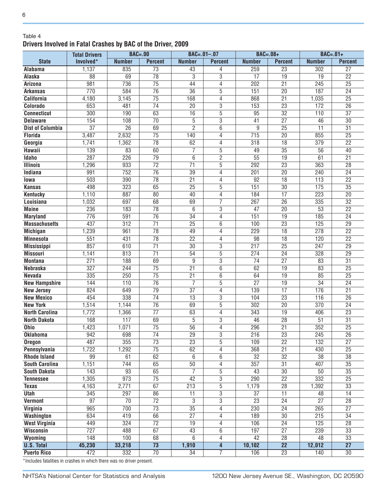#### Table 4 **Drivers Involved in Fatal Crashes by BAC of the Driver, 2009**

|                                        | <b>Total Drivers</b> | <b>BAC=.00</b>   |                 | $BAC = .01 - .07$ |                                  | $BAC=.08+$       |                 | $BAC=.01+$       |                 |
|----------------------------------------|----------------------|------------------|-----------------|-------------------|----------------------------------|------------------|-----------------|------------------|-----------------|
| <b>State</b>                           | Involved*            | <b>Number</b>    | <b>Percent</b>  | <b>Number</b>     | <b>Percent</b>                   | <b>Number</b>    | <b>Percent</b>  | <b>Number</b>    | <b>Percent</b>  |
| <b>Alabama</b>                         | 1,137                | 835              | $\overline{73}$ | 43                | 4                                | 259              | $\overline{23}$ | 302              | $\overline{27}$ |
| Alaska                                 | $\overline{88}$      | 69               | $\overline{78}$ | $\overline{3}$    | $\overline{3}$                   | $\overline{17}$  | $\overline{19}$ | 19               | $\overline{22}$ |
| <b>Arizona</b>                         | 981                  | 736              | $\overline{75}$ | 44                | 4                                | $\overline{202}$ | $\overline{21}$ | 245              | $\overline{25}$ |
| <b>Arkansas</b>                        | 770                  | 584              | $\overline{76}$ | $\overline{36}$   | 5                                | 151              | $\overline{20}$ | 187              | $\overline{24}$ |
| <b>California</b>                      | 4,180                | 3,145            | $\overline{75}$ | 168               | 4                                | 868              | $\overline{21}$ | 1,035            | $\overline{25}$ |
| Colorado                               | 653                  | 481              | $\overline{74}$ | $\overline{20}$   | 3                                | 153              | $\overline{23}$ | 172              | $\overline{26}$ |
| <b>Connecticut</b>                     | 300                  | 190              | 63              | 16                | $\overline{5}$                   | 95               | $\overline{32}$ | 110              | $\overline{37}$ |
| <b>Delaware</b>                        | 154                  | 108              | $\overline{70}$ | 5                 | $\overline{3}$                   | $\overline{41}$  | $\overline{27}$ | $\overline{46}$  | $\overline{30}$ |
| <b>Dist of Columbia</b>                | $\overline{37}$      | $\overline{26}$  | 69              | $\overline{2}$    | 6                                | 9                | $\overline{25}$ | $\overline{11}$  | $\overline{31}$ |
| <b>Florida</b>                         | 3,487                | 2,632            | $\overline{75}$ | 140               | 4                                | 715              | $\overline{20}$ | 855              | $\overline{25}$ |
| Georgia                                | 1,741                | 1,362            | 78              | 62                | 4                                | 318              | $\overline{18}$ | 379              | $\overline{22}$ |
| <b>Hawaii</b>                          | 139                  | 83               | 60              | 7                 | 5                                | 49               | $\overline{35}$ | $\overline{56}$  | 40              |
| <b>Idaho</b>                           | 287                  | 226              | 79              | 6                 | $\overline{2}$                   | $\overline{55}$  | 19              | 61               | $\overline{21}$ |
| <b>Illinois</b>                        | 1,296                | 933              | $\overline{72}$ | $\overline{71}$   | $\overline{5}$                   | 292              | $\overline{23}$ | 363              | $\overline{28}$ |
| <b>Indiana</b>                         | 991                  | 752              | $\overline{76}$ | $\overline{39}$   | $\overline{4}$                   | 201              | $\overline{20}$ | 240              | $\overline{24}$ |
| lowa                                   | 503                  | 390              | $\overline{78}$ | $\overline{21}$   | 4                                | $\overline{92}$  | $\overline{18}$ | 113              | $\overline{22}$ |
| <b>Kansas</b>                          | 498                  | 323              | 65              | $\overline{25}$   | $\overline{5}$                   | 151              | $\overline{30}$ | 175              | $\overline{35}$ |
| <b>Kentucky</b>                        | 1,110                | 887              | 80              | 40                | 4                                | 184              | $\overline{17}$ | 223              | $\overline{20}$ |
| Louisiana                              | 1,032                | 697              | 68              | 69                | 7                                | 267              | $\overline{26}$ | 335              | $\overline{32}$ |
| <b>Maine</b>                           | 236                  | 183              | 78              | 6                 | 3                                | $\overline{47}$  | $\overline{20}$ | 53               | $\overline{22}$ |
| <b>Maryland</b>                        | 776                  | 591              | $\overline{76}$ | $\overline{34}$   | 4                                | 151              | $\overline{19}$ | 185              | $\overline{24}$ |
| <b>Massachusetts</b>                   | 437                  | $\overline{312}$ | $\overline{71}$ | $\overline{25}$   | 6                                | 100              | $\overline{23}$ | 125              | $\overline{29}$ |
| <b>Michigan</b>                        | 1,239                | 961              | $\overline{78}$ | 49                | 4                                | 229              | $\overline{18}$ | 278              | $\overline{22}$ |
| <b>Minnesota</b>                       | 551                  | 431              | $\overline{78}$ | $\overline{22}$   | 4                                | 98               | $\overline{18}$ | 120              | $\overline{22}$ |
| <b>Mississippi</b>                     | 857                  | 610              | $\overline{71}$ | 30                | 3                                | 217              | $\overline{25}$ | 247              | $\overline{29}$ |
| <b>Missouri</b>                        | 1,141                | 813              | $\overline{71}$ | 54                | $\overline{5}$                   | 274              | $\overline{24}$ | 328              | $\overline{29}$ |
| <b>Montana</b>                         | 271                  | 188              | 69              | 9                 | 3                                | 74               | $\overline{27}$ | 83               | $\overline{31}$ |
| <b>Nebraska</b>                        | 327                  | 244              | $\overline{75}$ | 21                | 6                                | 62               | 19              | 83               | $\overline{25}$ |
| Nevada                                 | 335                  | 250              | $\overline{75}$ | $\overline{21}$   | 6                                | 64               | 19              | 85               | $\overline{25}$ |
|                                        | 144                  | 110              | $\overline{76}$ | $\overline{7}$    | $\overline{5}$                   | $\overline{27}$  | $\overline{19}$ | $\overline{34}$  | $\overline{24}$ |
| <b>New Hampshire</b>                   | 824                  | 649              | 79              | $\overline{37}$   | 4                                | 139              | $\overline{17}$ | 176              | $\overline{21}$ |
| <b>New Jersey</b><br><b>New Mexico</b> | 454                  | 338              | $\overline{74}$ | $\overline{13}$   | $\overline{3}$                   | 104              | $\overline{23}$ | 116              | $\overline{26}$ |
| <b>New York</b>                        | 1,514                | 1,144            | $\overline{76}$ | 69                | $\overline{5}$                   | 302              | $\overline{20}$ | 370              | $\overline{24}$ |
| <b>North Carolina</b>                  | 1,772                | 1,366            | $\overline{77}$ | 63                | $\overline{4}$                   | 343              | 19              | 406              | $\overline{23}$ |
| <b>North Dakota</b>                    | 168                  | 117              | 69              | $\overline{5}$    | $\overline{3}$                   | 46               | $\overline{28}$ | $\overline{51}$  | $\overline{31}$ |
| <b>Ohio</b>                            | 1,423                | 1,071            | $\overline{75}$ | $\overline{56}$   | $\overline{4}$                   | 296              | $\overline{21}$ | 352              | $\overline{25}$ |
| <b>Oklahoma</b>                        | $\overline{942}$     | 698              | $\overline{74}$ | $\overline{29}$   |                                  | $\overline{216}$ | $\overline{23}$ | $\overline{245}$ | $\overline{26}$ |
|                                        | 487                  | 355              | $\overline{73}$ | $\overline{23}$   | $\overline{3}$<br>$\overline{5}$ |                  | $\overline{22}$ |                  | $\overline{27}$ |
| <b>Oregon</b>                          |                      |                  | $\overline{75}$ |                   |                                  | 109              |                 | 132              |                 |
| Pennsylvania                           | 1,722                | 1,292            |                 | 62                | 4                                | 368              | $\overline{21}$ | 430              | $\overline{25}$ |
| <b>Rhode Island</b>                    | 99                   | 61               | 62<br>65        | 6                 | 6                                | $\overline{32}$  | $\overline{32}$ | $\overline{38}$  | $\overline{38}$ |
| South Carolina                         | 1,151                | 744              |                 | 50                | 4                                | 357              | $\overline{31}$ | 407              | $\overline{35}$ |
| <b>South Dakota</b>                    | 143                  | 93               | 65              | $\overline{7}$    | 5                                | 43               | $\overline{30}$ | 50               | $\overline{35}$ |
| <b>Tennessee</b>                       | 1,305                | 973              | $\overline{75}$ | 42                | 3                                | 290              | $\overline{22}$ | 332              | $\overline{25}$ |
| <b>Texas</b>                           | 4,163                | 2,771            | 67              | 213               | 5                                | 1,179            | 28              | 1,392            | 33              |
| <b>Utah</b>                            | 345                  | 297              | 86              | 11                | $\overline{3}$                   | 37               | $\overline{11}$ | 48               | 14              |
| <b>Vermont</b>                         | $\overline{97}$      | $\overline{70}$  | $\overline{72}$ | $\overline{3}$    | $\overline{3}$                   | $\overline{23}$  | $\overline{24}$ | $\overline{27}$  | $\overline{28}$ |
| Virginia                               | 965                  | 700              | 73              | $\overline{35}$   | 4                                | 230              | 24              | 265              | 27              |
| <b>Washington</b>                      | 634                  | 419              | 66              | $\overline{27}$   | 4                                | 189              | 30              | 215              | 34              |
| <b>West Virginia</b>                   | 449                  | 324              | $\overline{72}$ | 19                | 4                                | 106              | $\overline{24}$ | 125              | $\overline{28}$ |
| <b>Wisconsin</b>                       | $\overline{727}$     | 488              | 67              | 43                | 6                                | 197              | $\overline{27}$ | 239              | $\overline{33}$ |
| Wyoming                                | $\overline{148}$     | 100              | 68              | 6                 | $\overline{4}$                   | 42               | $\overline{28}$ | 48               | 33              |
| <b>U.S. Total</b>                      | 45,230               | 33,218           | $\overline{73}$ | 1,910             | $\overline{4}$                   | 10,102           | $\overline{22}$ | 12,012           | $\overline{27}$ |
| <b>Puerto Rico</b>                     | 472                  | 332              | $\overline{70}$ | $\overline{34}$   | 7                                | 106              | $\overline{23}$ | 140              | $\overline{30}$ |

\*Includes fatalities in crashes in which there was no driver present.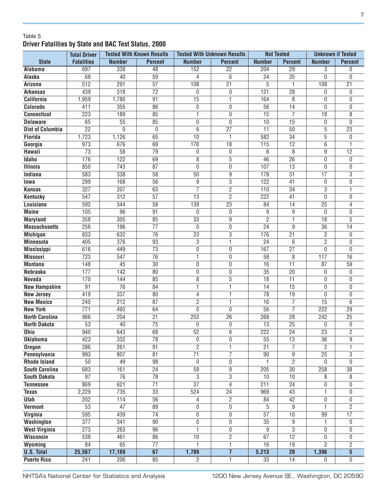#### Table 5 **Driver Fatalities by State and BAC Test Status, 2000**

|                         | <b>Total Driver</b> |                  | <b>Tested With Known Results</b> | <b>Tested With Unknown Results</b> |                 | <b>Not Tested</b> |                 | <b>Unknown if Tested</b> |                 |
|-------------------------|---------------------|------------------|----------------------------------|------------------------------------|-----------------|-------------------|-----------------|--------------------------|-----------------|
| <b>State</b>            | <b>Fatalities</b>   | <b>Number</b>    | <b>Percent</b>                   | <b>Number</b>                      | <b>Percent</b>  | <b>Number</b>     | <b>Percent</b>  | <b>Number</b>            | <b>Percent</b>  |
| Alabama                 | 697                 | 338              | 48                               | 152                                | $\overline{22}$ | 204               | $\overline{29}$ | 3                        | 0               |
| Alaska                  | 68                  | 40               | 59                               | 4                                  | 6               | $\overline{24}$   | $\overline{35}$ | $\mathbf 0$              | $\mathbf{0}$    |
| Arizona                 | $\overline{512}$    | 291              | $\overline{57}$                  | 108                                | $\overline{21}$ | $\overline{5}$    | 1               | 108                      | $\overline{21}$ |
| <b>Arkansas</b>         | 439                 | $\overline{318}$ | $\overline{72}$                  | 0                                  | 0               | 121               | $\overline{28}$ | 0                        | $\mathbf{0}$    |
| <b>California</b>       | 1,959               | 1,780            | 91                               | $\overline{15}$                    | 1               | 164               | $\overline{8}$  | $\boldsymbol{0}$         | 0               |
| Colorado                | 411                 | 355              | 86                               | $\overline{0}$                     | 0               | 56                | 14              | $\mathbf 0$              | $\mathbf{0}$    |
| <b>Connecticut</b>      | 223                 | 189              | 85                               | $\overline{1}$                     | 0               | $\overline{15}$   | $\overline{7}$  | $\overline{18}$          | 8               |
| <b>Delaware</b>         | 65                  | $\overline{55}$  | 85                               | $\overline{0}$                     | $\mathbf{0}$    | 10                | $\overline{15}$ | $\overline{0}$           | $\mathbf{0}$    |
| <b>Dist of Columbia</b> | $\overline{22}$     | $\mathbf{0}$     | 0                                | $\overline{6}$                     | $\overline{27}$ | $\overline{11}$   | 50              | $\overline{5}$           | $\overline{23}$ |
| <b>Florida</b>          | 1,723               | 1,126            | 65                               | 10                                 | 1               | 582               | $\overline{34}$ | $\overline{5}$           | 0               |
| Georgia                 | 973                 | 676              | 69                               | 176                                | $\overline{18}$ | 115               | $\overline{12}$ | $6\overline{6}$          |                 |
| Hawaii                  | $\overline{73}$     | $\overline{58}$  | $\overline{79}$                  | 0                                  | 0               | 6                 | 8               | $\boldsymbol{9}$         | $\overline{12}$ |
| <b>Idaho</b>            | 176                 | $\overline{122}$ | 69                               | 8                                  | 5               | 46                | $\overline{26}$ | $\mathbf 0$              | $\mathbf{0}$    |
| <b>Illinois</b>         | 850                 | 743              | $\overline{87}$                  | 0                                  | 0               | 107               | $\overline{13}$ | $\mathbf 0$              | $\mathbf{0}$    |
| Indiana                 | 583                 | 338              | $\overline{58}$                  | 50                                 | 9               | 178               | $\overline{31}$ | $\overline{17}$          | $\overline{3}$  |
| lowa                    | 299                 | 168              | $\overline{56}$                  | 9                                  | 3               | 122               | 41              | $\mathbf 0$              | 0               |
| <b>Kansas</b>           | 327                 | 207              | 63                               | $\overline{7}$                     | $\overline{2}$  | 110               | $\overline{34}$ | $\overline{3}$           | $\overline{1}$  |
| <b>Kentucky</b>         | 547                 | 312              | $\overline{57}$                  | $\overline{13}$                    | $\overline{2}$  | $\overline{222}$  | $\overline{41}$ | $\mathbf 0$              | $\mathbf{0}$    |
| Louisiana               | 592                 | 344              | $\overline{58}$                  | 139                                | $\overline{23}$ | 84                | $\overline{14}$ | $\overline{25}$          | 4               |
| <b>Maine</b>            | 105                 | $\overline{96}$  | $\overline{91}$                  | 0                                  | 0               | 9                 | 9               | 0                        | 0               |
| <b>Maryland</b>         | 358                 | 305              | 85                               | $\overline{33}$                    | 9               | $\overline{2}$    | $\mathbf{1}$    | $\overline{18}$          | 5               |
| <b>Massachusetts</b>    | 256                 | 196              | 77                               | 0                                  | 0               | $\overline{24}$   | 9               | $\overline{36}$          | 14              |
| <b>Michigan</b>         | 833                 | 632              | $\overline{76}$                  | $\overline{23}$                    | $\overline{3}$  | 176               | $\overline{21}$ | $\overline{2}$           | $\mathbf{0}$    |
| <b>Minnesota</b>        | 405                 | 376              | 93                               | $\overline{3}$                     | 1               | $\overline{24}$   | 6               | $\overline{2}$           | $\mathbf{0}$    |
| <b>Mississippi</b>      | 616                 | 449              | $\overline{73}$                  | $\overline{0}$                     | 0               | 167               | $\overline{27}$ | $\mathbf 0$              | $\Omega$        |
| <b>Missouri</b>         | 723                 | 547              | 76                               | $\overline{1}$                     | 0               | 58                | 8               | 117                      | 16              |
| <b>Montana</b>          | 148                 | 45               | $\overline{30}$                  | 0                                  | 0               | 16                | $\overline{11}$ | 87                       | 59              |
| <b>Nebraska</b>         | 177                 | 142              | 80                               | $\overline{0}$                     | 0               | 35                | $\overline{20}$ | 0                        | $\mathbf{0}$    |
| <b>Nevada</b>           | 170                 | 144              | 85                               | $\overline{8}$                     | $\overline{5}$  | 18                | $\overline{11}$ | $\mathbf 0$              | $\mathbf{0}$    |
| <b>New Hampshire</b>    | $\overline{91}$     | $\overline{76}$  | $\overline{84}$                  | ī                                  | 1               | 14                | $\overline{15}$ | $\mathbf 0$              | 0               |
| <b>New Jersey</b>       | 419                 | 337              | 80                               | 4                                  | 1               | 78                | 19              | $\mathbf 0$              | $\mathbf{0}$    |
| <b>New Mexico</b>       | $\overline{245}$    | 212              | $\overline{87}$                  | $\overline{2}$                     | 1               | 16                | 7               | $\overline{15}$          | 6               |
| <b>New York</b>         | 771                 | 493              | 64                               | 0                                  | 0               | $\overline{56}$   | $\overline{7}$  | 222                      | $\overline{29}$ |
| <b>North Carolina</b>   | 966                 | 204              | $\overline{21}$                  | 252                                | $\overline{26}$ | 268               | 28              | 242                      | $\overline{25}$ |
| <b>North Dakota</b>     | $\overline{53}$     | 40               | $\overline{75}$                  | $\mathbf 0$                        | 0               | $\overline{13}$   | $\overline{25}$ | $\mathbf 0$              | 0               |
| Ohio                    | 940                 | 643              | 68                               | 52                                 | $\overline{6}$  | $\overline{222}$  | $\overline{24}$ | $\overline{23}$          | $\overline{2}$  |
| <b>Oklahoma</b>         | 423                 | 332              | 78                               | 0                                  | 0               | 55                | 13              | $\overline{36}$          | 9               |
| <b>Oregon</b>           | 286                 | $\overline{261}$ | 91                               | $\overline{2}$                     | 1               | $\overline{21}$   | $\overline{7}$  | $\overline{2}$           |                 |
| Pennsylvania            | 993                 | 807              | 81                               | $\overline{71}$                    | $\overline{7}$  | 90                | $\overline{9}$  | $\overline{25}$          | 3               |
| <b>Rhode Island</b>     | $\overline{50}$     | 49               | $\overline{98}$                  | 0                                  | 0               | $\mathbf{1}$      | $\overline{2}$  | $\overline{0}$           | $\mathbf{0}$    |
| <b>South Carolina</b>   | 683                 | 161              | $\overline{24}$                  | 59                                 | $\overline{9}$  | 205               | $\overline{30}$ | 258                      | $\overline{38}$ |
| <b>South Dakota</b>     | $\overline{97}$     | $\overline{76}$  | $\overline{78}$                  | $\overline{3}$                     | $\overline{3}$  | 10                | 10              | $\overline{8}$           | 8               |
| <b>Tennessee</b>        | 869                 | 621              | $\overline{71}$                  | $\overline{37}$                    | $\overline{4}$  | $\overline{211}$  | $\overline{24}$ | $\overline{0}$           | 0               |
| <b>Texas</b>            | 2,229               | 735              | $\overline{33}$                  | 524                                | $\overline{24}$ | 969               | $\overline{43}$ | 1                        | 0               |
| <b>Utah</b>             | $\overline{202}$    | 114              | $\overline{56}$                  | 4                                  | $\overline{2}$  | 84                | $\overline{42}$ | $\overline{0}$           | 0               |
| <b>Vermont</b>          | 53                  | $\overline{47}$  | 89                               | 0                                  | 0               | 5                 | $\overline{9}$  | $\overline{1}$           | $\overline{2}$  |
| <b>Virginia</b>         | 595                 | 439              | $\overline{74}$                  | $\overline{0}$                     | 0               | $\overline{57}$   | $\overline{10}$ | 99                       | $\overline{17}$ |
| <b>Washington</b>       | $\overline{377}$    | 341              | $\overline{90}$                  | 0                                  | 0               | $\overline{35}$   | $\overline{9}$  | $\mathbf{1}$             | 0               |
| <b>West Virginia</b>    | $\overline{273}$    | $\overline{263}$ | $\overline{96}$                  | $\overline{1}$                     | 0               | 9                 | $\overline{3}$  | $\mathbf{0}$             | $\Omega$        |
| Wisconsin               | 538                 | 461              | 86                               | 10                                 | $\overline{2}$  | 67                | $\overline{12}$ | $\overline{0}$           | $\mathbf{0}$    |
| Wyoming                 | 84                  | 65               | $\overline{77}$                  | 1                                  | 1               | 16                | 19              | $\overline{2}$           | $\overline{2}$  |
| <b>U.S. Total</b>       | 25,567              | 17,169           | $\overline{67}$                  | 1,789                              | $\overline{7}$  | 5,213             | $\overline{20}$ | 1,396                    | $5\phantom{.0}$ |
| <b>Puerto Rico</b>      | 241                 | 206              | 85                               | $\overline{2}$                     | $\overline{1}$  | $\overline{33}$   | $\overline{14}$ | $\mathbf{0}$             | 0               |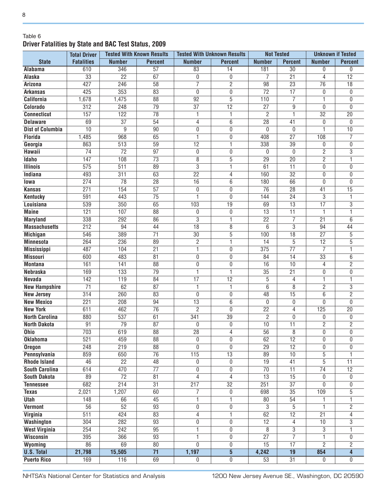#### Table 6 **Driver Fatalities by State and BAC Test Status, 2009**

|                                       | <b>Total Driver</b>    |                  | <b>Tested With Known Results</b>   |                                   | <b>Tested With Unknown Results</b> | <b>Not Tested</b>               |                                    | <b>Unknown if Tested</b>         |                                  |
|---------------------------------------|------------------------|------------------|------------------------------------|-----------------------------------|------------------------------------|---------------------------------|------------------------------------|----------------------------------|----------------------------------|
| <b>State</b>                          | <b>Fatalities</b>      | <b>Number</b>    | <b>Percent</b>                     | <b>Number</b>                     | <b>Percent</b>                     | <b>Number</b>                   | <b>Percent</b>                     | <b>Number</b>                    | <b>Percent</b>                   |
| <b>Alabama</b>                        | 610                    | 346              | $\overline{57}$                    | 83                                | $\overline{14}$                    | 181                             | $\overline{30}$                    | 0                                | $\mathbf{0}$                     |
| Alaska                                | $\overline{33}$        | $\overline{22}$  | 67                                 | 0                                 | 0                                  | 7                               | $\overline{21}$                    | 4                                | $\overline{12}$                  |
| <b>Arizona</b>                        | 427                    | 246              | $\overline{58}$                    | $\overline{7}$                    | $\overline{2}$                     | $\overline{98}$                 | $\overline{23}$                    | $\overline{76}$                  | $\overline{18}$                  |
| <b>Arkansas</b>                       | 425                    | 353              | 83                                 | 0                                 | 0                                  | $\overline{72}$                 | 17                                 | 0                                | 0                                |
| <b>California</b>                     | 1,678                  | 1,475            | $\overline{88}$                    | $\overline{92}$                   | $\overline{5}$                     | 110                             | $\overline{7}$                     | 1                                | 0                                |
| Colorado                              | 312                    | 248              | 79                                 | $\overline{37}$                   | $\overline{12}$                    | $\overline{27}$                 | 9                                  | $\mathbf{0}$                     | $\overline{0}$                   |
| <b>Connecticut</b>                    | 157                    | $\overline{122}$ | 78                                 | 1                                 | 1                                  | $\overline{2}$                  | 1                                  | $\overline{32}$                  | $\overline{20}$                  |
| <b>Delaware</b>                       | 69                     | $\overline{37}$  | 54                                 | $\overline{4}$                    | 6                                  | $\overline{28}$                 | $\overline{41}$                    | 0                                | 0                                |
| <b>Dist of Columbia</b>               | 10                     | $\overline{9}$   | $\overline{90}$                    | 0                                 | 0                                  | $\mathbf{0}$                    | $\mathbf{0}$                       | 1                                | 10                               |
| <b>Florida</b>                        | 1,485                  | 968              | 65                                 | 1                                 | 0                                  | 408                             | $\overline{27}$                    | 108                              | 7                                |
| Georgia                               | 863                    | 513              | $\overline{59}$                    | $\overline{12}$                   | 1                                  | 338                             | $\overline{39}$                    | 0                                | 0                                |
| Hawaii                                | $\overline{74}$        | $\overline{72}$  | $\overline{97}$                    | 0                                 | 0                                  | $\mathbf{0}$                    | $\mathbf{0}$                       | $\overline{2}$                   | $\overline{3}$                   |
| <b>Idaho</b>                          | 147                    | 108              | $\overline{73}$                    | 8                                 | $\overline{5}$                     | $\overline{29}$                 | $\overline{20}$                    | $\overline{2}$                   | 1                                |
| <b>Illinois</b>                       | 575                    | 511              | 89                                 | $\overline{3}$                    | 1                                  | 61                              | $\overline{11}$                    | 0                                | 0                                |
| Indiana                               | 493                    | $\overline{311}$ | 63                                 | $\overline{22}$                   | 4                                  | 160                             | $\overline{32}$                    | 0                                | 0                                |
| lowa                                  | 274                    | 78               | $\overline{28}$                    | 16                                | 6                                  | 180                             | 66                                 | 0                                | $\overline{0}$                   |
| <b>Kansas</b>                         | 271                    | 154              | $\overline{57}$                    | 0                                 | 0                                  | $\overline{76}$                 | $\overline{28}$                    | 41                               | $\overline{15}$                  |
| <b>Kentucky</b>                       | 591                    | 443              | $\overline{75}$                    | 1                                 | $\mathbf{0}$                       | 144                             | $\overline{24}$                    | 3                                | 1                                |
| Louisiana                             | 539                    | 350              | 65                                 | 103                               | $\overline{19}$                    | 69                              | $\overline{13}$                    | $\overline{17}$                  | $\overline{3}$                   |
| <b>Maine</b>                          | 121                    | 107              | $\overline{88}$                    | 0                                 | 0                                  | $\overline{13}$                 | $\overline{11}$                    | 1                                | 1                                |
| <b>Maryland</b>                       | 338                    | 292              | 86                                 | $\overline{3}$                    | 1                                  | $\overline{22}$                 | $\overline{7}$                     | $\overline{21}$                  | 6                                |
| <b>Massachusetts</b>                  | 212                    | 94               | 44                                 | $\overline{18}$                   | $\overline{8}$                     | 6                               | 3                                  | 94                               | 44                               |
| <b>Michigan</b>                       | 546                    | 389              | $\overline{71}$                    | $\overline{30}$                   | $\overline{5}$                     | 100                             | $\overline{18}$                    | $\overline{27}$                  | 5                                |
| <b>Minnesota</b>                      | 264                    | 236              | 89                                 | 2                                 | 1                                  | 14                              | 5                                  | 12                               | 5                                |
|                                       | 487                    | 104              | $\overline{21}$                    | 1                                 | 0                                  | 375                             | $\overline{77}$                    | 7                                | 1                                |
| <b>Mississippi</b><br><b>Missouri</b> | 600                    | 483              | 81                                 | 0                                 | 0                                  | 84                              | $\overline{14}$                    | 33                               | 6                                |
| <b>Montana</b>                        | 161                    | 141              | $\overline{88}$                    | $\overline{0}$                    | 0                                  | 16                              | 10                                 | 4                                | $\overline{2}$                   |
| <b>Nebraska</b>                       | 169                    | 133              | 79                                 | 1                                 | 1                                  | $\overline{35}$                 | $\overline{21}$                    | $\overline{0}$                   | 0                                |
| <b>Nevada</b>                         |                        | 119              |                                    | $\overline{17}$                   | $\overline{12}$                    |                                 |                                    |                                  |                                  |
|                                       | 142<br>$\overline{71}$ | 62               | 84<br>$\overline{87}$              | 1                                 | 1                                  | 5<br>6                          | 4<br>8                             | 1<br>$\overline{2}$              | 1<br>$\overline{3}$              |
| <b>New Hampshire</b>                  | 314                    | 260              | 83                                 |                                   |                                    | $\overline{48}$                 | $\overline{15}$                    | $\overline{6}$                   | $\overline{2}$                   |
| <b>New Jersey</b>                     | $\overline{221}$       | 208              | $\overline{94}$                    | 0                                 | 0                                  |                                 |                                    |                                  | $\mathbf{0}$                     |
| <b>New Mexico</b><br><b>New York</b>  | 611                    | 462              | $\overline{76}$                    | $\overline{13}$<br>$\overline{2}$ | 6                                  | $\mathbf{0}$<br>$\overline{22}$ | 0                                  | 0<br>125                         | $\overline{20}$                  |
|                                       |                        |                  |                                    |                                   | 0                                  |                                 | 4                                  |                                  |                                  |
| <b>North Carolina</b>                 | 880                    | 537              | 61                                 | 341                               | $\overline{39}$                    | $\overline{2}$                  | $\mathbf 0$                        | 0                                | 0                                |
| <b>North Dakota</b>                   | 91<br>703              | $\overline{79}$  | 87<br>$\overline{88}$              | 0<br>$\overline{28}$              | 0<br>$\overline{4}$                | 10<br>$\overline{56}$           | $\overline{11}$<br>8               | $\overline{2}$<br>$\overline{0}$ | $\overline{2}$<br>$\overline{0}$ |
| <b>Ohio</b>                           |                        | 619              |                                    |                                   |                                    |                                 |                                    |                                  |                                  |
| <b>Oklahoma</b>                       | 521                    | 459<br>219       | $\overline{88}$<br>$\overline{88}$ | 0<br>$\overline{0}$               | 0                                  | 62<br>$\overline{29}$           | $\overline{12}$<br>$\overline{12}$ | 0                                | 0                                |
| <b>Oregon</b>                         | 248                    |                  | $\overline{76}$                    |                                   | 0                                  |                                 |                                    | $\overline{0}$                   | 0                                |
| Pennsylvania                          | 859                    | 650              |                                    | 115                               | $\overline{13}$                    | $\overline{89}$                 | $\overline{10}$                    | $\overline{5}$                   |                                  |
| <b>Rhode Island</b>                   | 46                     | $\overline{22}$  | 48                                 | 0                                 | 0                                  | $\overline{19}$                 | 41                                 | $\overline{5}$                   | $\overline{11}$                  |
| <b>South Carolina</b>                 | 614                    | 470              | $\overline{77}$                    | 0                                 | 0                                  | $\overline{70}$                 | $\overline{11}$                    | $\overline{74}$                  | $\overline{12}$                  |
| <b>South Dakota</b>                   | 89                     | $\overline{72}$  | 81                                 | 4                                 | 4                                  | $\overline{13}$                 | $\overline{15}$                    | 0                                | $\mathbf 0$                      |
| <b>Tennessee</b>                      | 682                    | $\overline{214}$ | $\overline{31}$                    | 217                               | $\overline{32}$                    | $\overline{251}$                | $\overline{37}$                    | $\overline{0}$                   | 0                                |
| <b>Texas</b>                          | 2,021                  | 1,207            | 60                                 | $\overline{7}$                    | 0                                  | 698                             | $\overline{35}$                    | 109                              | $\overline{5}$                   |
| Utah                                  | $\overline{148}$       | 66               | 45                                 | 1                                 | 1                                  | 80                              | $\overline{54}$                    | 1                                | 1                                |
| <b>Vermont</b>                        | $\overline{56}$        | $\overline{52}$  | $\overline{93}$                    | 0                                 | 0                                  | 3                               | 5                                  | 1                                | $\overline{2}$                   |
| <b>Virginia</b>                       | $\overline{511}$       | 424              | 83                                 | $\overline{4}$                    | 1                                  | 62                              | $\overline{12}$                    | $\overline{21}$                  | 4                                |
| <b>Washington</b>                     | 304                    | $\overline{282}$ | $\overline{93}$                    | 0                                 | 0                                  | $\overline{12}$                 | 4                                  | 10                               | 3                                |
| <b>West Virginia</b>                  | 254                    | 242              | $\overline{95}$                    | 1                                 | 0                                  | 8                               | 3                                  | $\overline{3}$                   | 1.                               |
| Wisconsin                             | 395                    | 366              | $\overline{93}$                    | 1                                 | 0                                  | $\overline{27}$                 | $\overline{7}$                     | 1.                               | 0                                |
| Wyoming                               | 86                     | 69               | $\overline{80}$                    | 0                                 | 0                                  | 15                              | $\overline{17}$                    | $\overline{2}$                   | $\overline{2}$                   |
| <b>U.S. Total</b>                     | 21,798                 | 15,505           | $\overline{71}$                    | 1,197                             | $\overline{5}$                     | 4,242                           | $\overline{19}$                    | 854                              | $\overline{\mathbf{4}}$          |
| <b>Puerto Rico</b>                    | 169                    | 116              | 69                                 | 0                                 | 0                                  | $\overline{53}$                 | $\overline{31}$                    | 0                                | 0                                |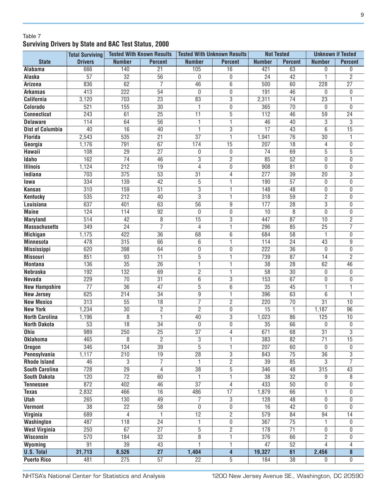#### Table 7 **Surviving Drivers by State and BAC Test Status, 2000**

|                         | <b>Total Surviving</b> | <b>Tested With Known Results</b> |                       | <b>Tested With Unknown Results</b> |                         | <b>Not Tested</b> |                       | <b>Unknown if Tested</b> |                         |
|-------------------------|------------------------|----------------------------------|-----------------------|------------------------------------|-------------------------|-------------------|-----------------------|--------------------------|-------------------------|
| <b>State</b>            | <b>Drivers</b>         | <b>Number</b>                    | <b>Percent</b>        | <b>Number</b>                      | <b>Percent</b>          | <b>Number</b>     | <b>Percent</b>        | <b>Number</b>            | <b>Percent</b>          |
| Alabama                 | 666                    | 140                              | $\overline{21}$       | 105                                | 16                      | 421               | 63                    | 0                        | 0                       |
| Alaska                  | $\overline{57}$        | $\overline{32}$                  | $\overline{56}$       | 0                                  | 0                       | $\overline{24}$   | $\overline{42}$       | 1                        | $\overline{2}$          |
| <b>Arizona</b>          | 836                    | 62                               | $\overline{7}$        | $\overline{46}$                    | $\overline{6}$          | 500               | 60                    | 228                      | $\overline{27}$         |
| <b>Arkansas</b>         | 413                    | 222                              | $\overline{54}$       | $\mathbf{0}$                       | 0                       | 191               | 46                    | 0                        | 0                       |
| <b>California</b>       | 3,120                  | 703                              | $\overline{23}$       | 83                                 | $\overline{3}$          | 2,311             | $\overline{74}$       | $\overline{23}$          | 1                       |
| Colorado                | 521                    | 155                              | $\overline{30}$       | 1                                  | 0                       | 365               | $\overline{70}$       | 0                        | $\mathbf{0}$            |
| <b>Connecticut</b>      | 243                    | 61                               | $\overline{25}$       | $\overline{11}$                    | 5                       | 112               | 46                    | 59                       | $\overline{24}$         |
| <b>Delaware</b>         | 114                    | 64                               | $\overline{56}$       | 1                                  | 1                       | 46                | 40                    | 3                        | 3                       |
| <b>Dist of Columbia</b> | 40                     | 16                               | 40                    | $\mathbf{1}$                       | 3                       | $\overline{17}$   | 43                    | 6                        | $\overline{15}$         |
| <b>Florida</b>          | 2,543                  | 535                              | $\overline{21}$       | $\overline{37}$                    | 1                       | 1,941             | $\overline{76}$       | $\overline{30}$          |                         |
| Georgia                 | 1,176                  | 791                              | 67                    | 174                                | $\overline{15}$         | 207               | $\overline{18}$       | 4                        | $\mathbf{0}$            |
| Hawaii                  | 108                    | 29                               | $\overline{27}$       | 0                                  | 0                       | $\overline{74}$   | 69                    | 5                        | $\overline{5}$          |
| <b>Idaho</b>            | 162                    | $\overline{74}$                  | 46                    | $\overline{3}$                     | $\overline{c}$          | 85                | $\overline{52}$       | 0                        | $\mathbf{0}$            |
| <b>Illinois</b>         | 1,124                  | 212                              | $\overline{19}$       | 4                                  | 0                       | 908               | $\overline{81}$       | 0                        | $\mathbf{0}$            |
| Indiana                 | 703                    | 375                              | $\overline{53}$       | 31                                 | 4                       | 277               | $\overline{39}$       | $\overline{20}$          | 3                       |
| lowa                    | 334                    | 139                              | 42                    | $\overline{5}$                     | $\mathbf{1}$            | 190               | $\overline{57}$       | 0                        | $\mathbf{0}$            |
| <b>Kansas</b>           | 310                    | 159                              | $\overline{51}$       | $\overline{3}$                     | 1                       | 148               | $\overline{48}$       | $\overline{0}$           | 0                       |
| <b>Kentucky</b>         | 535                    | 212                              | 40                    | $\overline{3}$                     | 1                       | 318               | $\overline{59}$       | 2                        | 0                       |
| Louisiana               | 637                    | 401                              | 63                    | $\overline{56}$                    | $\overline{9}$          | 177               | $\overline{28}$       | $\overline{3}$           | 0                       |
| <b>Maine</b>            | 124                    | 114                              | $\overline{92}$       | $\mathbf 0$                        | 0                       | 10                | 8                     | 0                        | 0                       |
| <b>Maryland</b>         | 514                    | 42                               | 8                     | $\overline{15}$                    | $\overline{3}$          | 447               | 87                    | 10                       | 2                       |
| <b>Massachusetts</b>    | 349                    | $\overline{24}$                  | 7                     | 4                                  | 1                       | 296               | 85                    | $\overline{25}$          | 7                       |
| <b>Michigan</b>         | 1,175                  | 422                              | $\overline{36}$       | 68                                 | 6                       | 684               | 58                    | 1                        | 0                       |
| <b>Minnesota</b>        | 478                    | 315                              | 66                    | 6                                  | 1                       | 114               | 24                    | 43                       | 9                       |
| <b>Mississippi</b>      | 620                    | 398                              | 64                    | 0                                  | 0                       | 222               | $\overline{36}$       | 0                        | 0                       |
| <b>Missouri</b>         | 851                    | 93                               | $\overline{11}$       | $\overline{5}$                     | 1                       | 739               | 87                    | 14                       | $\overline{2}$          |
| <b>Montana</b>          | 136                    | $\overline{35}$                  | $\overline{26}$       | 1                                  | 1                       | $\overline{38}$   | $\overline{28}$       | 62                       | 46                      |
| <b>Nebraska</b>         | 192                    | 132                              | 69                    | $\overline{2}$                     | 1                       | $\overline{58}$   | $\overline{30}$       | 0                        | $\mathbf{0}$            |
| <b>Nevada</b>           | 229                    | $\overline{70}$                  | $\overline{31}$       | $\overline{6}$                     | 3                       | 153               | 67                    | 0                        | 0                       |
| <b>New Hampshire</b>    | $\overline{77}$        | $\overline{36}$                  | 47                    | $\overline{5}$                     | 6                       | $\overline{35}$   | $\overline{45}$       | 1                        | 1                       |
| <b>New Jersey</b>       | 625                    | $\overline{214}$                 | $\overline{34}$       | $\overline{9}$                     | 1                       | 396               | 63                    | 6                        | 1                       |
| <b>New Mexico</b>       | 313                    | 55                               | $\overline{18}$       | $\overline{7}$                     | $\overline{2}$          | 220               | $\overline{70}$       | $\overline{31}$          | 10                      |
| <b>New York</b>         | 1,234                  | $\overline{30}$                  | $\overline{2}$        | $\overline{2}$                     | 0                       | $\overline{15}$   | 1                     | 1,187                    | $\overline{96}$         |
| <b>North Carolina</b>   | 1,196                  | 8                                | $\overline{1}$        | 40                                 | 3                       | 1,023             | 86                    | 125                      | 10                      |
| <b>North Dakota</b>     | 53                     | $\overline{18}$                  | $\overline{34}$       | 0                                  | 0                       | $\overline{35}$   | 66                    | 0                        | $\mathbf 0$             |
| <b>Ohio</b>             | 989                    | 250                              | $\overline{25}$       | $\overline{37}$                    | 4                       | 671               | 68                    | $\overline{31}$          | $\overline{3}$          |
| <b>Oklahoma</b>         | 465                    | $\overline{8}$                   | $\overline{2}$        | 3                                  | 1                       | 383               | 82                    | $\overline{71}$          | 15                      |
| <b>Oregon</b>           | 346                    | 134                              | $\overline{39}$       | $\overline{5}$                     | ī                       | 207               | 60                    | $\mathbf{0}$             | $\mathbf 0$             |
| Pennsylvania            | 1,117                  | $\overline{210}$                 | $\overline{19}$       | $\overline{28}$                    | $\overline{3}$          | 843               | $\overline{75}$       | $\overline{36}$          | 3                       |
| <b>Rhode Island</b>     | 46                     | $\overline{3}$                   | $\overline{7}$        | 1                                  | $\overline{2}$          | $\overline{39}$   | 85                    | 3                        | $\overline{7}$          |
| <b>South Carolina</b>   | 728                    | $\overline{29}$                  | $\overline{4}$        | $\overline{38}$                    | $\overline{5}$          | 346               | 48                    | 315                      | 43                      |
| <b>South Dakota</b>     | 120                    | $\overline{72}$                  | 60                    | $\mathbf{1}$                       | $\overline{1}$          | $\overline{38}$   | $\overline{32}$       | 9                        | 8                       |
| <b>Tennessee</b>        | 872                    | 402                              | 46                    | $\overline{37}$                    | 4                       | 433               | $\overline{50}$       | 0                        | 0                       |
|                         | 2,832                  | 466                              | 16                    | 486                                | 17                      | 1,879             | 66                    | 1                        | 0                       |
| <b>Texas</b>            |                        |                                  |                       |                                    |                         |                   |                       |                          |                         |
| Utah<br><b>Vermont</b>  | 265<br>$\overline{38}$ | 130<br>$\overline{22}$           | 49<br>$\overline{58}$ | $\overline{7}$<br>$\mathbf{0}$     | 3<br>0                  | 128<br>16         | 48<br>$\overline{42}$ | 0<br>0                   | 0<br>$\Omega$           |
|                         |                        |                                  |                       |                                    |                         |                   |                       |                          |                         |
| <b>Virginia</b>         | 689                    | 4                                | 1                     | $\overline{12}$                    | $\overline{2}$          | 579               | 84                    | 94                       | 14                      |
| <b>Washington</b>       | 487                    | 118                              | $\overline{24}$       | 1                                  | 0                       | $\overline{367}$  | $\overline{75}$       | 1                        | $\mathbf{0}$            |
| <b>West Virginia</b>    | $\overline{250}$       | 67                               | $\overline{27}$       | $\overline{5}$                     | $\overline{2}$          | 178               | $\overline{71}$       | 0                        | 0                       |
| Wisconsin               | 570                    | 184                              | $\overline{32}$       | $\overline{8}$                     | 1                       | $\overline{376}$  | 66                    | $\overline{2}$           | 0                       |
| Wyoming                 | 91                     | $\overline{39}$                  | 43                    | 1                                  | 1                       | $\overline{47}$   | $\overline{52}$       | 4                        | 4                       |
| <b>U.S. Total</b>       | 31,713                 | 8,526                            | $\overline{27}$       | 1,404                              | $\overline{\mathbf{4}}$ | 19,327            | 61                    | 2,456                    | $\overline{\mathbf{8}}$ |
| <b>Puerto Rico</b>      | 481                    | 275                              | $\overline{57}$       | $\overline{22}$                    | 5                       | 184               | $\overline{38}$       | $\mathbf{0}$             | 0                       |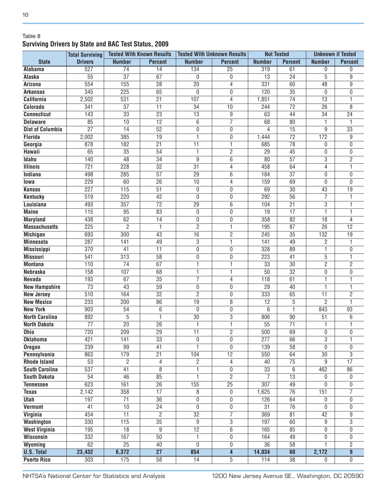#### Table 8 **Surviving Drivers by State and BAC Test Status, 2009**

|                         | <b>Total Surviving</b> |                  | <b>Tested With Known Results</b> | <b>Tested With Unknown Results</b> |                         | <b>Not Tested</b> |                 | <b>Unknown if Tested</b> |                 |
|-------------------------|------------------------|------------------|----------------------------------|------------------------------------|-------------------------|-------------------|-----------------|--------------------------|-----------------|
| <b>State</b>            | <b>Drivers</b>         | <b>Number</b>    | <b>Percent</b>                   | <b>Number</b>                      | <b>Percent</b>          | <b>Number</b>     | <b>Percent</b>  | <b>Number</b>            | <b>Percent</b>  |
| Alabama                 | 527                    | $\overline{74}$  | $\overline{14}$                  | 134                                | $\overline{25}$         | 319               | 61              | 0                        | $\mathbf{0}$    |
| Alaska                  | 55                     | $\overline{37}$  | 67                               | 0                                  | 0                       | $\overline{13}$   | $\overline{24}$ | 5                        | 9               |
| <b>Arizona</b>          | 554                    | 155              | $\overline{28}$                  | $\overline{20}$                    | 4                       | 331               | 60              | 48                       | $\overline{9}$  |
| <b>Arkansas</b>         | 345                    | $\overline{225}$ | 65                               | 0                                  | 0                       | 120               | $\overline{35}$ | 0                        | 0               |
| <b>California</b>       | 2,502                  | 531              | $\overline{21}$                  | 107                                | $\overline{4}$          | 1,851             | $\overline{74}$ | $\overline{13}$          |                 |
| Colorado                | 341                    | $\overline{37}$  | $\overline{11}$                  | $\overline{34}$                    | 10                      | 244               | $\overline{72}$ | $\overline{26}$          | $\overline{8}$  |
| <b>Connecticut</b>      | 143                    | $\overline{33}$  | $\overline{23}$                  | $\overline{13}$                    | 9                       | 63                | 44              | $\overline{34}$          | $\overline{24}$ |
| <b>Delaware</b>         | 85                     | $\overline{10}$  | $\overline{12}$                  | $\overline{6}$                     | $\overline{7}$          | 68                | 80              | 1                        |                 |
| <b>Dist of Columbia</b> | $\overline{27}$        | $\overline{14}$  | $\overline{52}$                  | $\boldsymbol{0}$                   | $\mathbf 0$             | 4                 | 15              | 9                        | $\overline{33}$ |
| <b>Florida</b>          | 2,002                  | 385              | $\overline{19}$                  | 1                                  | $\mathbf 0$             | 1,444             | $\overline{72}$ | 172                      | 9               |
| Georgia                 | 878                    | 182              | $\overline{21}$                  | $\overline{11}$                    | 1                       | 685               | $\overline{78}$ | 0                        | $\mathbf{0}$    |
| Hawaii                  | 65                     | $\overline{35}$  | 54                               | 1                                  | $\overline{2}$          | $\overline{29}$   | $\overline{45}$ | 0                        | 0               |
| <b>Idaho</b>            | 140                    | $\overline{48}$  | $\overline{34}$                  | $\overline{9}$                     | $\overline{6}$          | 80                | $\overline{57}$ | 3                        | $\overline{2}$  |
| <b>Illinois</b>         | 721                    | 228              | $\overline{32}$                  | $\overline{31}$                    | 4                       | 458               | 64              | $\overline{4}$           | 1               |
| Indiana                 | 498                    | 285              | $\overline{57}$                  | $\overline{29}$                    | 6                       | 184               | $\overline{37}$ | 0                        | $\mathbf{0}$    |
| lowa                    | 229                    | 60               | $\overline{26}$                  | 10                                 | 4                       | 159               | 69              | 0                        | $\mathbf{0}$    |
| <b>Kansas</b>           | 227                    | 115              | $\overline{51}$                  | 0                                  | 0                       | 69                | $\overline{30}$ | 43                       | 19              |
| <b>Kentucky</b>         | 519                    | 220              | 42                               | 0                                  | 0                       | 292               | $\overline{56}$ | $\overline{7}$           |                 |
| Louisiana               | 493                    | 357              | $\overline{72}$                  | $\overline{29}$                    | $6\overline{6}$         | 104               | $\overline{21}$ | $\overline{3}$           |                 |
| <b>Maine</b>            | 115                    | 95               | 83                               | $\boldsymbol{0}$                   | 0                       | $\overline{19}$   | 17              | 1                        |                 |
| <b>Maryland</b>         | 438                    | 62               | $\overline{14}$                  | 0                                  | 0                       | 358               | $\overline{82}$ | 18                       | 4               |
| <b>Massachusetts</b>    | 225                    | $\overline{2}$   | 1                                | $\overline{2}$                     | 1                       | 195               | $\overline{87}$ | $\overline{26}$          | $\overline{12}$ |
| <b>Michigan</b>         | 693                    | 300              | 43                               | $\overline{16}$                    | $\overline{2}$          | 245               | $\overline{35}$ | 132                      | $\overline{19}$ |
| <b>Minnesota</b>        | 287                    | 141              | 49                               | $\overline{3}$                     | 1                       | 141               | 49              | $\overline{c}$           | 1               |
| <b>Mississippi</b>      | 370                    | 41               | $\overline{11}$                  | $\overline{0}$                     | 0                       | 328               | 89              | 1                        | $\mathbf{0}$    |
| <b>Missouri</b>         | 541                    | $\overline{313}$ | 58                               | 0                                  | 0                       | 223               | 41              | 5                        | 1               |
| <b>Montana</b>          | 110                    | $\overline{74}$  | 67                               | $\overline{\mathbb{1}}$            | 1                       | $\overline{33}$   | $\overline{30}$ | $\overline{2}$           | $\overline{2}$  |
| <b>Nebraska</b>         | 158                    | 107              | 68                               | 1                                  | 1                       | $\overline{50}$   | $\overline{32}$ | 0                        | 0               |
| <b>Nevada</b>           | 193                    | 67               | $\overline{35}$                  | $\overline{7}$                     | 4                       | 118               | 61              | 1                        |                 |
| <b>New Hampshire</b>    | $\overline{73}$        | $\overline{43}$  | $\overline{59}$                  | $\overline{0}$                     | 0                       | $\overline{29}$   | 40              | 1                        |                 |
| <b>New Jersey</b>       | 510                    | 164              | $\overline{32}$                  | $\overline{2}$                     | 0                       | 333               | 65              | $\overline{11}$          | 2               |
| <b>New Mexico</b>       | 233                    | 200              | 86                               | $\overline{19}$                    | 8                       | $\overline{12}$   | 5               | $\overline{c}$           |                 |
| <b>New York</b>         | 903                    | 54               | $\overline{6}$                   | 0                                  | $\overline{0}$          | 6                 | 1               | 843                      | 93              |
| <b>North Carolina</b>   | 892                    | 5                | $\overline{1}$                   | $\overline{30}$                    | $\overline{3}$          | 806               | 90              | 51                       | 6               |
| <b>North Dakota</b>     | $\overline{77}$        | $\overline{20}$  | $\overline{26}$                  | 1                                  | 1                       | $\overline{55}$   | $\overline{71}$ | 1                        |                 |
| <b>Ohio</b>             | 720                    | 209              | $\overline{29}$                  | $\overline{11}$                    | $\overline{2}$          | 500               | 69              | 0                        | $\mathbf{0}$    |
| <b>Oklahoma</b>         | 421                    | 141              | $\overline{33}$                  | 0                                  | 0                       | 277               | 66              | $\overline{3}$           | 1               |
| <b>Oregon</b>           | 239                    | $\overline{99}$  | $\overline{41}$                  | 1                                  | 0                       | 139               | $\overline{58}$ | $\overline{0}$           | 0               |
| Pennsylvania            | 863                    | 179              | $\overline{21}$                  | 104                                | $\overline{12}$         | 550               | 64              | 30                       | 3               |
| <b>Rhode Island</b>     | $\overline{53}$        | $\overline{2}$   | 4                                | 2                                  | $\overline{4}$          | 40                | $\overline{75}$ | 9                        | $\overline{17}$ |
| <b>South Carolina</b>   | 537                    | 41               | $\overline{8}$                   | 1                                  | 0                       | $\overline{33}$   | 6               | 462                      | $\overline{86}$ |
| <b>South Dakota</b>     | 54                     | $\overline{46}$  | 85                               | 1                                  | $\overline{2}$          | $\overline{7}$    | $\overline{13}$ | 0                        | 0               |
| <b>Tennessee</b>        | 623                    | 161              | $\overline{26}$                  | 155                                | $\overline{25}$         | $\overline{307}$  | 49              | 0                        | 0               |
| <b>Texas</b>            | 2,142                  | 358              | $\overline{17}$                  | 8                                  | 0                       | 1,625             | $\overline{76}$ | 151                      | 7               |
| <b>Utah</b>             | 197                    | $\overline{71}$  | $\overline{36}$                  | 0                                  | 0                       | 126               | 64              | 0                        | 0               |
| <b>Vermont</b>          | $\overline{41}$        | $\overline{10}$  | $\overline{24}$                  | 0                                  | 0                       | $\overline{31}$   | $\overline{76}$ | 0                        | 0               |
| <b>Virginia</b>         | 454                    | $\overline{11}$  | $\overline{2}$                   | $\overline{32}$                    | $\overline{7}$          | 369               | 81              | 42                       | 9               |
| <b>Washington</b>       | 330                    | $\overline{115}$ | $\overline{35}$                  | 9                                  | $\overline{3}$          | 197               | 60              | 9                        | $\overline{3}$  |
| <b>West Virginia</b>    | 195                    | $\overline{18}$  | $\overline{9}$                   | $\overline{12}$                    | $\overline{6}$          | 165               | 85              | 0                        | 0               |
| Wisconsin               | 332                    | 167              | $\overline{50}$                  | 1                                  | 0                       | 164               | 49              | 0                        | 0               |
| Wyoming                 | 62                     | $\overline{25}$  | 40                               | 0                                  | 0                       | $\overline{36}$   | $\overline{58}$ | 1                        | $\overline{2}$  |
| <b>U.S. Total</b>       | 23,432                 | 6,372            | $\overline{27}$                  | 854                                | $\overline{\mathbf{4}}$ | 14,034            | 60              | 2,172                    | $\overline{9}$  |
| <b>Puerto Rico</b>      | 303                    | 175              | $\overline{58}$                  | $\overline{14}$                    | $\overline{5}$          | 114               | $\overline{38}$ | $\mathbf{0}$             | 0               |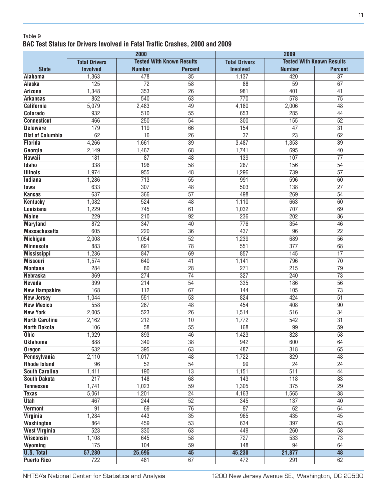#### Table 9 **BAC Test Status for Drivers Involved in Fatal Traffic Crashes, 2000 and 2009**

|                         |                      | 2000             |                                  | 2009                 |                  |                                  |  |  |
|-------------------------|----------------------|------------------|----------------------------------|----------------------|------------------|----------------------------------|--|--|
|                         | <b>Total Drivers</b> |                  | <b>Tested With Known Results</b> | <b>Total Drivers</b> |                  | <b>Tested With Known Results</b> |  |  |
| <b>State</b>            | <b>Involved</b>      | <b>Number</b>    | <b>Percent</b>                   | <b>Involved</b>      | <b>Number</b>    | <b>Percent</b>                   |  |  |
| <b>Alabama</b>          | 1,363                | 478              | $\overline{35}$                  | 1,137                | 420              | $\overline{37}$                  |  |  |
| <b>Alaska</b>           | 125                  | $\overline{72}$  | $\overline{58}$                  | $\overline{88}$      | 59               | 67                               |  |  |
| <b>Arizona</b>          | 1,348                | 353              | $\overline{26}$                  | 981                  | 401              | 41                               |  |  |
| <b>Arkansas</b>         | 852                  | 540              | 63                               | 770                  | 578              | $\overline{75}$                  |  |  |
| <b>California</b>       | 5,079                | 2,483            | 49                               | 4,180                | 2,006            | $\overline{48}$                  |  |  |
| Colorado                | 932                  | $\overline{510}$ | $\overline{55}$                  | 653                  | 285              | 44                               |  |  |
| <b>Connecticut</b>      | 466                  | $\overline{250}$ | $\overline{54}$                  | 300                  | 155              | $\overline{52}$                  |  |  |
| <b>Delaware</b>         | 179                  | 119              | 66                               | 154                  | $\overline{47}$  | $\overline{31}$                  |  |  |
| <b>Dist of Columbia</b> | 62                   | 16               | $\overline{26}$                  | $\overline{37}$      | $\overline{23}$  | 62                               |  |  |
| <b>Florida</b>          | 4,266                | 1,661            | $\overline{39}$                  | 3,487                | 1,353            | $\overline{39}$                  |  |  |
| Georgia                 | 2,149                | 1,467            | $\overline{68}$                  | 1,741                | 695              | 40                               |  |  |
| <b>Hawaii</b>           | 181                  | $\overline{87}$  | $\overline{48}$                  | 139                  | 107              | $\overline{77}$                  |  |  |
| <b>Idaho</b>            | 338                  | 196              | $\overline{58}$                  | 287                  | 156              | $\overline{54}$                  |  |  |
| <b>Illinois</b>         | 1,974                | 955              | $\overline{48}$                  | 1,296                | 739              | $\overline{57}$                  |  |  |
| <b>Indiana</b>          | 1,286                | $\overline{713}$ | $\overline{55}$                  | 991                  | 596              | 60                               |  |  |
| lowa                    | 633                  | $\overline{307}$ | 48                               | 503                  | 138              | $\overline{27}$                  |  |  |
| <b>Kansas</b>           | 637                  | 366              | $\overline{57}$                  | 498                  | 269              | $\overline{54}$                  |  |  |
| <b>Kentucky</b>         | 1,082                | 524              | 48                               | 1,110                | 663              | 60                               |  |  |
| Louisiana               | 1,229                | 745              | 61                               | 1,032                | 707              | 69                               |  |  |
| <b>Maine</b>            | 229                  | $\overline{210}$ | $\overline{92}$                  | 236                  | $\overline{202}$ | 86                               |  |  |
| <b>Maryland</b>         | 872                  | 347              | 40                               | 776                  | 354              | 46                               |  |  |
| <b>Massachusetts</b>    | 605                  | 220              | $\overline{36}$                  | 437                  | $\overline{96}$  | $\overline{22}$                  |  |  |
| <b>Michigan</b>         | 2,008                | 1,054            | $\overline{52}$                  | 1,239                | 689              | $\overline{56}$                  |  |  |
| <b>Minnesota</b>        | 883                  | 691              | $\overline{78}$                  | 551                  | 377              | 68                               |  |  |
| <b>Mississippi</b>      | 1,236                | 847              | 69                               | 857                  | 145              | $\overline{17}$                  |  |  |
| <b>Missouri</b>         | 1,574                | 640              | $\overline{41}$                  | 1,141                | 796              | $\overline{70}$                  |  |  |
| <b>Montana</b>          | 284                  | $\overline{80}$  | $\overline{28}$                  | 271                  | $\overline{215}$ | $\overline{79}$                  |  |  |
| Nebraska                | 369                  | 274              | $\overline{74}$                  | 327                  | 240              | $\overline{73}$                  |  |  |
| <b>Nevada</b>           | 399                  | $\overline{214}$ | 54                               | 335                  | 186              | 56                               |  |  |
| <b>New Hampshire</b>    | 168                  | $\overline{112}$ | $\overline{67}$                  | 144                  | 105              | $\overline{73}$                  |  |  |
| <b>New Jersey</b>       | 1,044                | 551              | $\overline{53}$                  | 824                  | 424              | $\overline{51}$                  |  |  |
| <b>New Mexico</b>       | 558                  | 267              | $\overline{48}$                  | 454                  | 408              | $\overline{90}$                  |  |  |
| <b>New York</b>         | 2,005                | 523              | $\overline{26}$                  | 1,514                | 516              | $\overline{34}$                  |  |  |
| <b>North Carolina</b>   | 2,162                | 212              | $\overline{10}$                  | 1,772                | 542              | $\overline{31}$                  |  |  |
| <b>North Dakota</b>     | 106                  | $\overline{58}$  | $\overline{55}$                  | 168                  | 99               | $\overline{59}$                  |  |  |
| Ohio                    | 1,929<br>1.          | 893              | 46                               | 1,423                | 828              | $\overline{58}$                  |  |  |
| <b>Oklahoma</b>         | 888                  | $\overline{340}$ | $\overline{38}$                  | 942                  | 600              | 64                               |  |  |
| <b>Oregon</b>           | 632                  | $\overline{395}$ | 63                               | 487                  | 318              | 65                               |  |  |
| <b>Pennsylvania</b>     | 2,110                | 1,017            | 48                               | 1,722                | 829              | 48                               |  |  |
| <b>Rhode Island</b>     | $\overline{96}$      | 52               | $\overline{54}$                  | 99                   | $\overline{24}$  | $\overline{24}$                  |  |  |
| <b>South Carolina</b>   | 1,411                | 190              | $\overline{13}$                  | 1,151                | $\overline{511}$ | 44                               |  |  |
| <b>South Dakota</b>     | 217                  | 148              | $\overline{68}$                  | $\overline{143}$     | 118              | 83                               |  |  |
| <b>Tennessee</b>        | 1,741                | 1,023            | $\overline{59}$                  | 1,305                | 375              | $\overline{29}$                  |  |  |
| <b>Texas</b>            | 5,061                | 1,201            | $\overline{24}$                  | 4,163                | 1,565            | $\overline{38}$                  |  |  |
| <b>Utah</b>             | 467                  | 244              | $\overline{52}$                  | 345                  | 137              | 40                               |  |  |
| <b>Vermont</b>          | 91                   | 69               | $\overline{76}$                  | $\overline{97}$      | 62               | 64                               |  |  |
| Virginia                | 1,284                | 443              | $\overline{35}$                  | 965                  | 435              | 45                               |  |  |
| Washington              | 864                  | 459              | $\overline{53}$                  | 634                  | $\overline{397}$ | 63                               |  |  |
| <b>West Virginia</b>    | 523                  | $\overline{330}$ | 63                               | 449                  | 260              | 58                               |  |  |
| Wisconsin               | 1,108                | 645              | $\overline{58}$                  | 727                  | 533              | $\overline{73}$                  |  |  |
| Wyoming                 | 175                  | 104              | $\overline{59}$                  | 148                  | 94               | 64                               |  |  |
| <b>U.S. Total</b>       | 57,280               | 25,695           | 45                               | 45,230               | 21,877           | 48                               |  |  |
| <b>Puerto Rico</b>      | 722                  | 481              | 67                               | 472                  | 291              | 62                               |  |  |